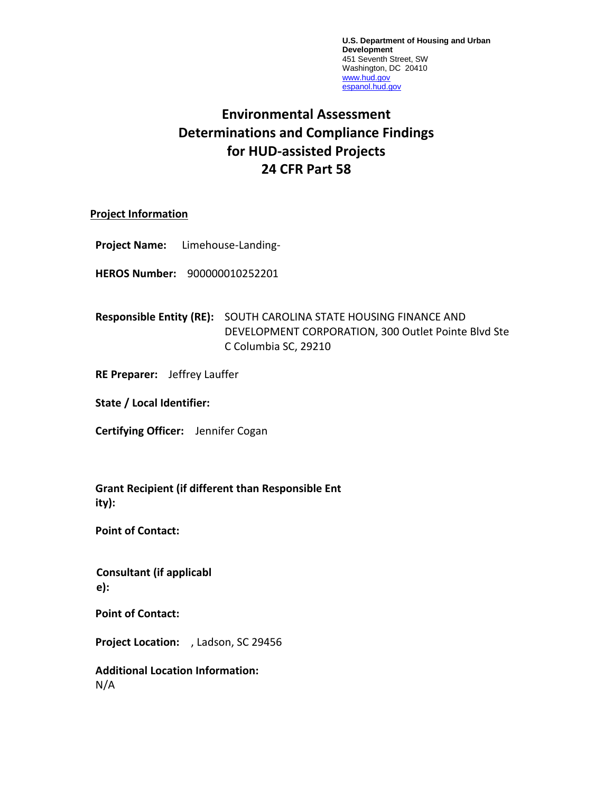**U.S. Department of Housing and Urban Development** 451 Seventh Street, SW Washington, DC 20410 [www.hud.gov](http://www.hud.gov/) [espanol.hud.gov](file:///C:/Documents%20and%20Settings/ABehl/Desktop/MicroStrategy/EMIS/Final%20EMIS/espanol.hud.gov)

# **Environmental Assessment Determinations and Compliance Findings for HUD-assisted Projects 24 CFR Part 58**

### **Project Information**

**Project Name:** Limehouse-Landing-

**HEROS Number:** 900000010252201

**Responsible Entity (RE):** SOUTH CAROLINA STATE HOUSING FINANCE AND DEVELOPMENT CORPORATION, 300 Outlet Pointe Blvd Ste C Columbia SC, 29210

**RE Preparer:** Jeffrey Lauffer

**State / Local Identifier:**

**Certifying Officer:** Jennifer Cogan

**Grant Recipient (if different than Responsible Ent ity):**

**Point of Contact:** 

**Consultant (if applicabl e):**

**Point of Contact:** 

**Project Location:** , Ladson, SC 29456

**Additional Location Information:** N/A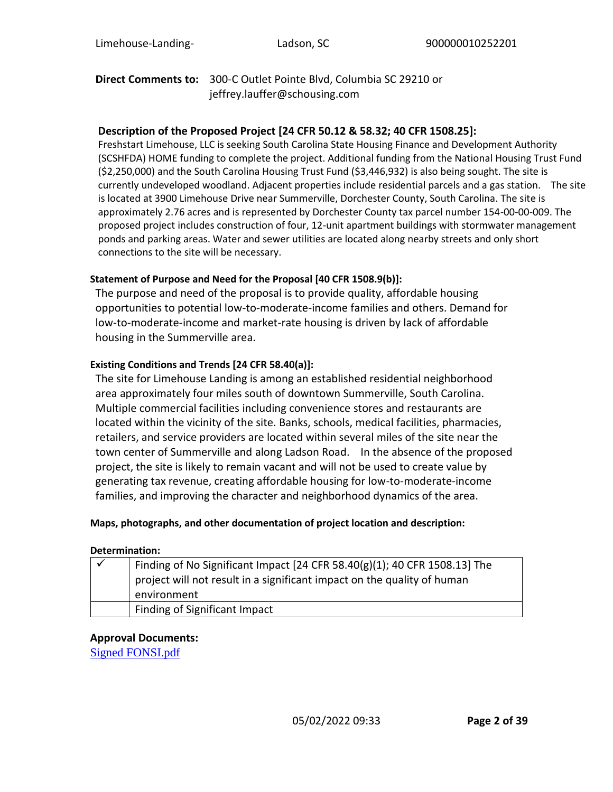# **Direct Comments to:** 300-C Outlet Pointe Blvd, Columbia SC 29210 or jeffrey.lauffer@schousing.com

### **Description of the Proposed Project [24 CFR 50.12 & 58.32; 40 CFR 1508.25]:**

Freshstart Limehouse, LLC is seeking South Carolina State Housing Finance and Development Authority (SCSHFDA) HOME funding to complete the project. Additional funding from the National Housing Trust Fund (\$2,250,000) and the South Carolina Housing Trust Fund (\$3,446,932) is also being sought. The site is currently undeveloped woodland. Adjacent properties include residential parcels and a gas station. The site is located at 3900 Limehouse Drive near Summerville, Dorchester County, South Carolina. The site is approximately 2.76 acres and is represented by Dorchester County tax parcel number 154-00-00-009. The proposed project includes construction of four, 12-unit apartment buildings with stormwater management ponds and parking areas. Water and sewer utilities are located along nearby streets and only short connections to the site will be necessary.

### **Statement of Purpose and Need for the Proposal [40 CFR 1508.9(b)]:**

The purpose and need of the proposal is to provide quality, affordable housing opportunities to potential low-to-moderate-income families and others. Demand for low-to-moderate-income and market-rate housing is driven by lack of affordable housing in the Summerville area.

### **Existing Conditions and Trends [24 CFR 58.40(a)]:**

The site for Limehouse Landing is among an established residential neighborhood area approximately four miles south of downtown Summerville, South Carolina. Multiple commercial facilities including convenience stores and restaurants are located within the vicinity of the site. Banks, schools, medical facilities, pharmacies, retailers, and service providers are located within several miles of the site near the town center of Summerville and along Ladson Road. In the absence of the proposed project, the site is likely to remain vacant and will not be used to create value by generating tax revenue, creating affordable housing for low-to-moderate-income families, and improving the character and neighborhood dynamics of the area.

### **Maps, photographs, and other documentation of project location and description:**

#### **Determination:**

| Finding of No Significant Impact [24 CFR 58.40(g)(1); 40 CFR 1508.13] The<br>project will not result in a significant impact on the quality of human |
|------------------------------------------------------------------------------------------------------------------------------------------------------|
| environment                                                                                                                                          |
| Finding of Significant Impact                                                                                                                        |

**Approval Documents:**

[Signed FONSI.pdf](https://www.onecpd.info/reports/ESD_900000010252201_05212022_900000011332165_1651498204603.pdf)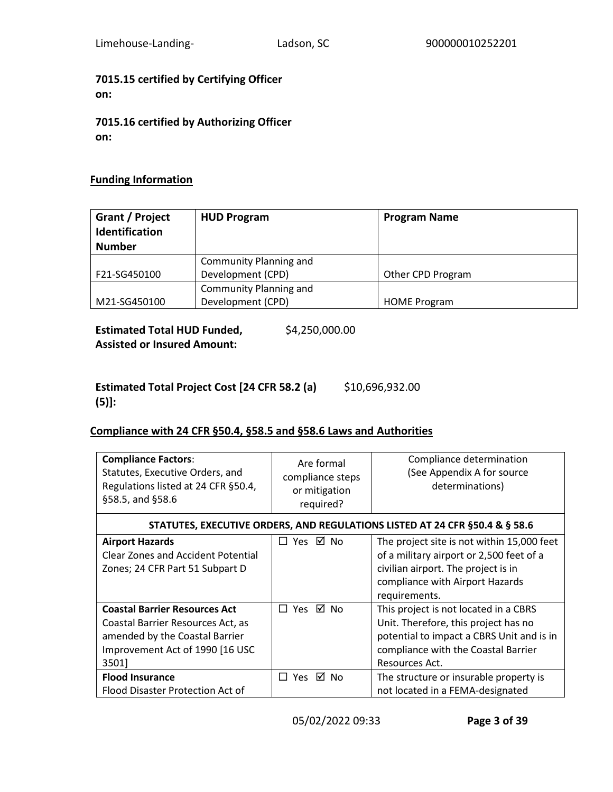### **7015.15 certified by Certifying Officer on:**

# **7015.16 certified by Authorizing Officer on:**

### **Funding Information**

| Grant / Project<br>Identification<br><b>Number</b> | <b>HUD Program</b>     | <b>Program Name</b> |
|----------------------------------------------------|------------------------|---------------------|
|                                                    | Community Planning and |                     |
| F21-SG450100                                       | Development (CPD)      | Other CPD Program   |
|                                                    | Community Planning and |                     |
| M21-SG450100                                       | Development (CPD)      | <b>HOME Program</b> |

#### **Estimated Total HUD Funded, Assisted or Insured Amount:**  \$4,250,000.00

**Estimated Total Project Cost [24 CFR 58.2 (a)**  \$10,696,932.00 **(5)]:**

### **Compliance with 24 CFR §50.4, §58.5 and §58.6 Laws and Authorities**

| <b>Compliance Factors:</b><br>Statutes, Executive Orders, and<br>Regulations listed at 24 CFR §50.4,<br>§58.5, and §58.6                                | Are formal<br>compliance steps<br>or mitigation<br>required? | Compliance determination<br>(See Appendix A for source<br>determinations)                                                                                                           |
|---------------------------------------------------------------------------------------------------------------------------------------------------------|--------------------------------------------------------------|-------------------------------------------------------------------------------------------------------------------------------------------------------------------------------------|
|                                                                                                                                                         |                                                              | STATUTES, EXECUTIVE ORDERS, AND REGULATIONS LISTED AT 24 CFR §50.4 & § 58.6                                                                                                         |
| <b>Airport Hazards</b><br><b>Clear Zones and Accident Potential</b><br>Zones; 24 CFR Part 51 Subpart D                                                  | □ Yes ☑ No                                                   | The project site is not within 15,000 feet<br>of a military airport or 2,500 feet of a<br>civilian airport. The project is in<br>compliance with Airport Hazards<br>requirements.   |
| <b>Coastal Barrier Resources Act</b><br>Coastal Barrier Resources Act, as<br>amended by the Coastal Barrier<br>Improvement Act of 1990 [16 USC<br>3501] | □ Yes ☑ No                                                   | This project is not located in a CBRS<br>Unit. Therefore, this project has no<br>potential to impact a CBRS Unit and is in<br>compliance with the Coastal Barrier<br>Resources Act. |
| <b>Flood Insurance</b><br>Flood Disaster Protection Act of                                                                                              | <b>Yes</b><br>П<br>⋈<br>No                                   | The structure or insurable property is<br>not located in a FEMA-designated                                                                                                          |

05/02/2022 09:33 **Page 3 of 39**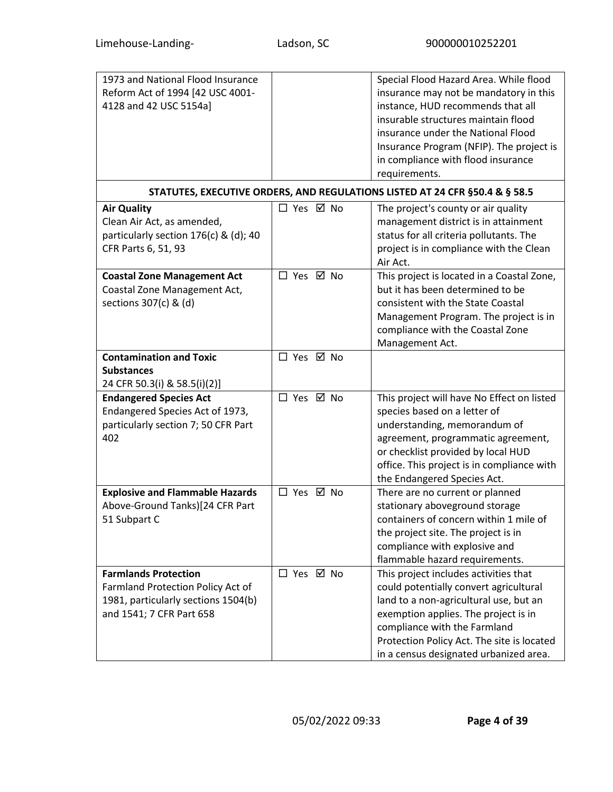| 1973 and National Flood Insurance<br>Reform Act of 1994 [42 USC 4001-<br>4128 and 42 USC 5154a]                                     |            | Special Flood Hazard Area. While flood<br>insurance may not be mandatory in this<br>instance, HUD recommends that all<br>insurable structures maintain flood<br>insurance under the National Flood<br>Insurance Program (NFIP). The project is<br>in compliance with flood insurance<br>requirements. |
|-------------------------------------------------------------------------------------------------------------------------------------|------------|-------------------------------------------------------------------------------------------------------------------------------------------------------------------------------------------------------------------------------------------------------------------------------------------------------|
|                                                                                                                                     |            | STATUTES, EXECUTIVE ORDERS, AND REGULATIONS LISTED AT 24 CFR §50.4 & § 58.5                                                                                                                                                                                                                           |
| <b>Air Quality</b><br>Clean Air Act, as amended,<br>particularly section 176(c) & (d); 40<br>CFR Parts 6, 51, 93                    | □ Yes ☑ No | The project's county or air quality<br>management district is in attainment<br>status for all criteria pollutants. The<br>project is in compliance with the Clean<br>Air Act.                                                                                                                         |
| <b>Coastal Zone Management Act</b><br>Coastal Zone Management Act,<br>sections 307(c) & (d)                                         | □ Yes ☑ No | This project is located in a Coastal Zone,<br>but it has been determined to be<br>consistent with the State Coastal<br>Management Program. The project is in<br>compliance with the Coastal Zone<br>Management Act.                                                                                   |
| <b>Contamination and Toxic</b><br><b>Substances</b><br>24 CFR 50.3(i) & 58.5(i)(2)]                                                 | □ Yes ☑ No |                                                                                                                                                                                                                                                                                                       |
| <b>Endangered Species Act</b><br>Endangered Species Act of 1973,<br>particularly section 7; 50 CFR Part<br>402                      | □ Yes ☑ No | This project will have No Effect on listed<br>species based on a letter of<br>understanding, memorandum of<br>agreement, programmatic agreement,<br>or checklist provided by local HUD<br>office. This project is in compliance with<br>the Endangered Species Act.                                   |
| <b>Explosive and Flammable Hazards</b><br>Above-Ground Tanks)[24 CFR Part<br>51 Subpart C                                           | □ Yes ☑ No | There are no current or planned<br>stationary aboveground storage<br>containers of concern within 1 mile of<br>the project site. The project is in<br>compliance with explosive and<br>flammable hazard requirements.                                                                                 |
| <b>Farmlands Protection</b><br>Farmland Protection Policy Act of<br>1981, particularly sections 1504(b)<br>and 1541; 7 CFR Part 658 | □ Yes ☑ No | This project includes activities that<br>could potentially convert agricultural<br>land to a non-agricultural use, but an<br>exemption applies. The project is in<br>compliance with the Farmland<br>Protection Policy Act. The site is located<br>in a census designated urbanized area.             |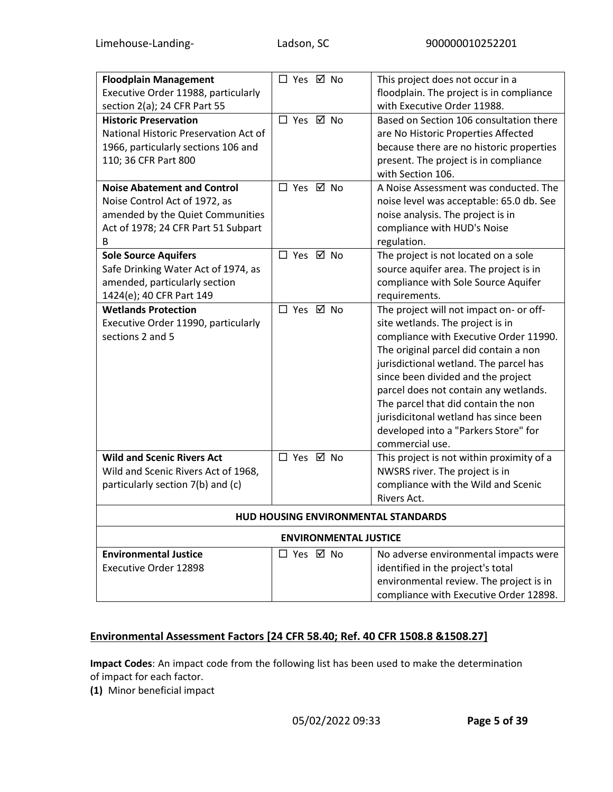| <b>Floodplain Management</b>          | □ Yes ☑ No                   | This project does not occur in a          |  |  |
|---------------------------------------|------------------------------|-------------------------------------------|--|--|
| Executive Order 11988, particularly   |                              | floodplain. The project is in compliance  |  |  |
| section 2(a); 24 CFR Part 55          |                              | with Executive Order 11988.               |  |  |
| <b>Historic Preservation</b>          | □ Yes ☑ No                   | Based on Section 106 consultation there   |  |  |
| National Historic Preservation Act of |                              | are No Historic Properties Affected       |  |  |
| 1966, particularly sections 106 and   |                              | because there are no historic properties  |  |  |
| 110; 36 CFR Part 800                  |                              | present. The project is in compliance     |  |  |
|                                       |                              | with Section 106.                         |  |  |
| <b>Noise Abatement and Control</b>    | □ Yes ☑ No                   | A Noise Assessment was conducted. The     |  |  |
| Noise Control Act of 1972, as         |                              | noise level was acceptable: 65.0 db. See  |  |  |
| amended by the Quiet Communities      |                              | noise analysis. The project is in         |  |  |
| Act of 1978; 24 CFR Part 51 Subpart   |                              | compliance with HUD's Noise               |  |  |
| В                                     |                              | regulation.                               |  |  |
| <b>Sole Source Aquifers</b>           | □ Yes ☑ No                   | The project is not located on a sole      |  |  |
| Safe Drinking Water Act of 1974, as   |                              | source aquifer area. The project is in    |  |  |
| amended, particularly section         |                              | compliance with Sole Source Aquifer       |  |  |
| 1424(e); 40 CFR Part 149              |                              | requirements.                             |  |  |
| <b>Wetlands Protection</b>            | □ Yes ☑ No                   | The project will not impact on- or off-   |  |  |
| Executive Order 11990, particularly   |                              | site wetlands. The project is in          |  |  |
| sections 2 and 5                      |                              | compliance with Executive Order 11990.    |  |  |
|                                       |                              | The original parcel did contain a non     |  |  |
|                                       |                              | jurisdictional wetland. The parcel has    |  |  |
|                                       |                              | since been divided and the project        |  |  |
|                                       |                              | parcel does not contain any wetlands.     |  |  |
|                                       |                              | The parcel that did contain the non       |  |  |
|                                       |                              | jurisdicitonal wetland has since been     |  |  |
|                                       |                              | developed into a "Parkers Store" for      |  |  |
|                                       |                              | commercial use.                           |  |  |
| <b>Wild and Scenic Rivers Act</b>     | □ Yes ☑ No                   | This project is not within proximity of a |  |  |
| Wild and Scenic Rivers Act of 1968,   |                              | NWSRS river. The project is in            |  |  |
| particularly section 7(b) and (c)     |                              | compliance with the Wild and Scenic       |  |  |
|                                       |                              | Rivers Act.                               |  |  |
|                                       |                              |                                           |  |  |
| HUD HOUSING ENVIRONMENTAL STANDARDS   |                              |                                           |  |  |
|                                       | <b>ENVIRONMENTAL JUSTICE</b> |                                           |  |  |
| <b>Environmental Justice</b>          | □ Yes ☑ No                   | No adverse environmental impacts were     |  |  |
| <b>Executive Order 12898</b>          |                              | identified in the project's total         |  |  |
|                                       |                              | environmental review. The project is in   |  |  |
|                                       |                              | compliance with Executive Order 12898.    |  |  |

# **Environmental Assessment Factors [24 CFR 58.40; Ref. 40 CFR 1508.8 &1508.27]**

**Impact Codes**: An impact code from the following list has been used to make the determination of impact for each factor.

**(1)** Minor beneficial impact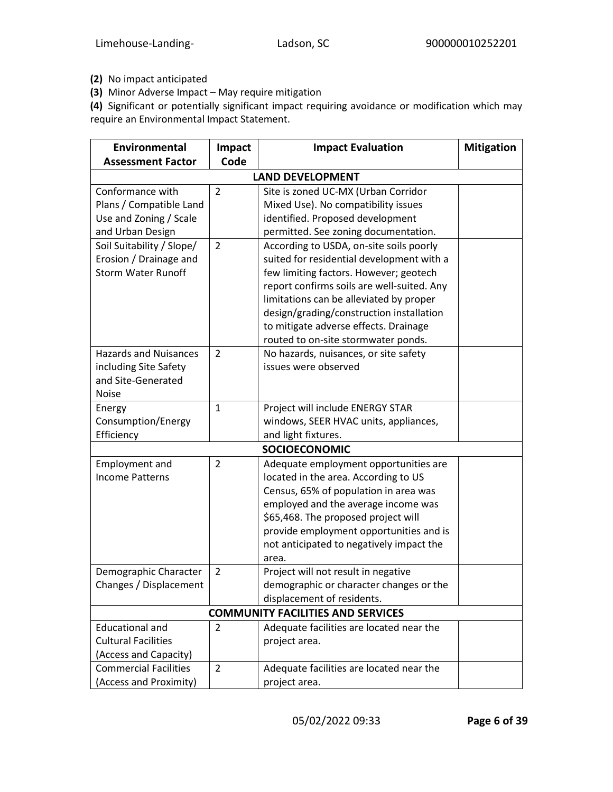- **(2)** No impact anticipated
- **(3)** Minor Adverse Impact May require mitigation

**(4)** Significant or potentially significant impact requiring avoidance or modification which may require an Environmental Impact Statement.

| Environmental<br><b>Impact Evaluation</b><br>Impact          |                      | <b>Mitigation</b>                          |  |  |  |
|--------------------------------------------------------------|----------------------|--------------------------------------------|--|--|--|
| <b>Assessment Factor</b>                                     | Code                 |                                            |  |  |  |
| <b>LAND DEVELOPMENT</b>                                      |                      |                                            |  |  |  |
| Conformance with<br>2<br>Site is zoned UC-MX (Urban Corridor |                      |                                            |  |  |  |
| Plans / Compatible Land                                      |                      | Mixed Use). No compatibility issues        |  |  |  |
| Use and Zoning / Scale                                       |                      | identified. Proposed development           |  |  |  |
| and Urban Design                                             |                      | permitted. See zoning documentation.       |  |  |  |
| Soil Suitability / Slope/                                    | 2                    | According to USDA, on-site soils poorly    |  |  |  |
| Erosion / Drainage and                                       |                      | suited for residential development with a  |  |  |  |
| <b>Storm Water Runoff</b>                                    |                      | few limiting factors. However; geotech     |  |  |  |
|                                                              |                      | report confirms soils are well-suited. Any |  |  |  |
|                                                              |                      | limitations can be alleviated by proper    |  |  |  |
|                                                              |                      | design/grading/construction installation   |  |  |  |
|                                                              |                      | to mitigate adverse effects. Drainage      |  |  |  |
|                                                              |                      | routed to on-site stormwater ponds.        |  |  |  |
| <b>Hazards and Nuisances</b>                                 | 2                    | No hazards, nuisances, or site safety      |  |  |  |
| including Site Safety                                        |                      | issues were observed                       |  |  |  |
| and Site-Generated                                           |                      |                                            |  |  |  |
| <b>Noise</b>                                                 |                      |                                            |  |  |  |
| Energy                                                       | $\mathbf{1}$         | Project will include ENERGY STAR           |  |  |  |
| Consumption/Energy                                           |                      | windows, SEER HVAC units, appliances,      |  |  |  |
| Efficiency                                                   |                      | and light fixtures.                        |  |  |  |
|                                                              | <b>SOCIOECONOMIC</b> |                                            |  |  |  |
| <b>Employment and</b>                                        | 2                    | Adequate employment opportunities are      |  |  |  |
| <b>Income Patterns</b>                                       |                      | located in the area. According to US       |  |  |  |
|                                                              |                      | Census, 65% of population in area was      |  |  |  |
|                                                              |                      | employed and the average income was        |  |  |  |
|                                                              |                      | \$65,468. The proposed project will        |  |  |  |
|                                                              |                      | provide employment opportunities and is    |  |  |  |
|                                                              |                      | not anticipated to negatively impact the   |  |  |  |
|                                                              |                      | area.                                      |  |  |  |
| Demographic Character                                        | $\overline{2}$       | Project will not result in negative        |  |  |  |
| Changes / Displacement                                       |                      | demographic or character changes or the    |  |  |  |
|                                                              |                      | displacement of residents.                 |  |  |  |
| <b>COMMUNITY FACILITIES AND SERVICES</b>                     |                      |                                            |  |  |  |
| <b>Educational and</b>                                       | 2                    | Adequate facilities are located near the   |  |  |  |
| <b>Cultural Facilities</b>                                   |                      | project area.                              |  |  |  |
| (Access and Capacity)                                        |                      |                                            |  |  |  |
| <b>Commercial Facilities</b>                                 | $\overline{2}$       | Adequate facilities are located near the   |  |  |  |
| (Access and Proximity)                                       |                      | project area.                              |  |  |  |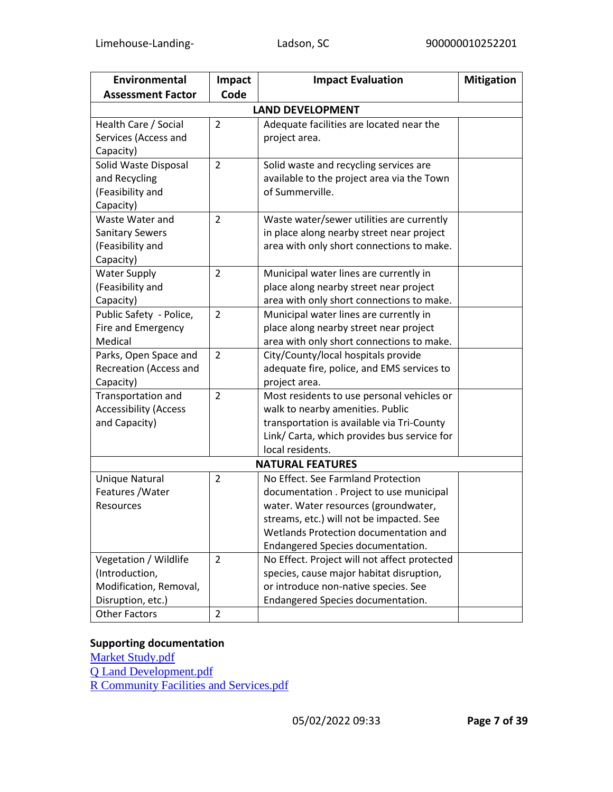| Environmental                | Impact                  | <b>Impact Evaluation</b>                     | <b>Mitigation</b> |  |  |  |
|------------------------------|-------------------------|----------------------------------------------|-------------------|--|--|--|
| <b>Assessment Factor</b>     | Code                    |                                              |                   |  |  |  |
|                              | <b>LAND DEVELOPMENT</b> |                                              |                   |  |  |  |
| Health Care / Social         | $\overline{2}$          | Adequate facilities are located near the     |                   |  |  |  |
| Services (Access and         |                         | project area.                                |                   |  |  |  |
| Capacity)                    |                         |                                              |                   |  |  |  |
| Solid Waste Disposal         | $\overline{2}$          | Solid waste and recycling services are       |                   |  |  |  |
| and Recycling                |                         | available to the project area via the Town   |                   |  |  |  |
| (Feasibility and             |                         | of Summerville.                              |                   |  |  |  |
| Capacity)                    |                         |                                              |                   |  |  |  |
| Waste Water and              | $\overline{2}$          | Waste water/sewer utilities are currently    |                   |  |  |  |
| <b>Sanitary Sewers</b>       |                         | in place along nearby street near project    |                   |  |  |  |
| (Feasibility and             |                         | area with only short connections to make.    |                   |  |  |  |
| Capacity)                    |                         |                                              |                   |  |  |  |
| <b>Water Supply</b>          | $\overline{2}$          | Municipal water lines are currently in       |                   |  |  |  |
| (Feasibility and             |                         | place along nearby street near project       |                   |  |  |  |
| Capacity)                    |                         | area with only short connections to make.    |                   |  |  |  |
| Public Safety - Police,      | $\overline{2}$          | Municipal water lines are currently in       |                   |  |  |  |
| Fire and Emergency           |                         | place along nearby street near project       |                   |  |  |  |
| Medical                      |                         | area with only short connections to make.    |                   |  |  |  |
| Parks, Open Space and        | $\overline{2}$          | City/County/local hospitals provide          |                   |  |  |  |
| Recreation (Access and       |                         | adequate fire, police, and EMS services to   |                   |  |  |  |
| Capacity)                    |                         | project area.                                |                   |  |  |  |
| Transportation and           | $\overline{2}$          | Most residents to use personal vehicles or   |                   |  |  |  |
| <b>Accessibility (Access</b> |                         | walk to nearby amenities. Public             |                   |  |  |  |
| and Capacity)                |                         | transportation is available via Tri-County   |                   |  |  |  |
|                              |                         | Link/ Carta, which provides bus service for  |                   |  |  |  |
|                              |                         | local residents.                             |                   |  |  |  |
| <b>NATURAL FEATURES</b>      |                         |                                              |                   |  |  |  |
| <b>Unique Natural</b>        | $\overline{2}$          | No Effect. See Farmland Protection           |                   |  |  |  |
| Features / Water             |                         | documentation . Project to use municipal     |                   |  |  |  |
| <b>Resources</b>             |                         | water. Water resources (groundwater,         |                   |  |  |  |
|                              |                         | streams, etc.) will not be impacted. See     |                   |  |  |  |
|                              |                         | Wetlands Protection documentation and        |                   |  |  |  |
|                              |                         | Endangered Species documentation.            |                   |  |  |  |
| Vegetation / Wildlife        | $\overline{2}$          | No Effect. Project will not affect protected |                   |  |  |  |
| (Introduction,               |                         | species, cause major habitat disruption,     |                   |  |  |  |
| Modification, Removal,       |                         | or introduce non-native species. See         |                   |  |  |  |
| Disruption, etc.)            |                         | Endangered Species documentation.            |                   |  |  |  |
| <b>Other Factors</b>         | $\overline{2}$          |                                              |                   |  |  |  |

### **Supporting documentation**

[Market Study.pdf](https://www.onecpd.info/reports/ESD_900000010252201_05212022_900000011327287_1651498204603.pdf) [Q Land Development.pdf](https://www.onecpd.info/reports/ESD_900000010252201_05212022_900000011327206_1651498204603.pdf) [R Community Facilities and Services.pdf](https://www.onecpd.info/reports/ESD_900000010252201_05212022_900000011327203_1651498204603.pdf)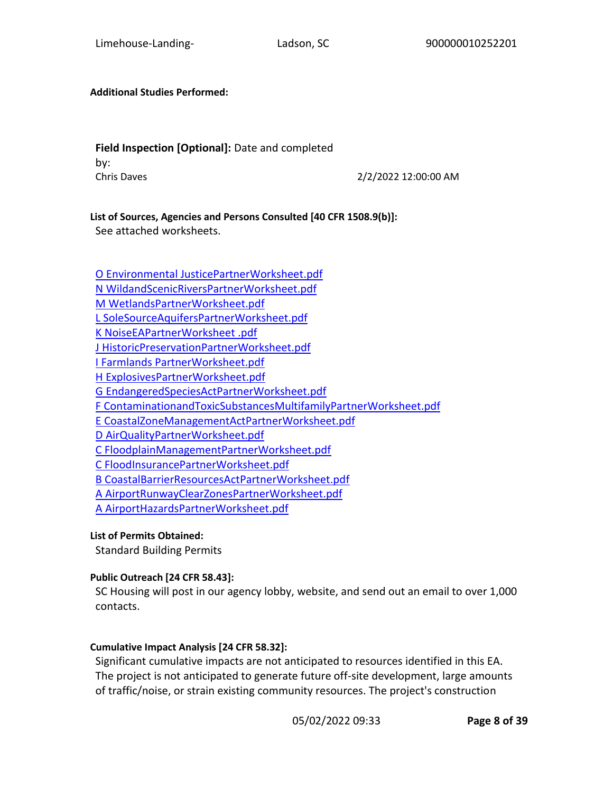### **Additional Studies Performed:**

### **Field Inspection [Optional]:** Date and completed by: Chris Daves 2/2/2022 12:00:00 AM

# **List of Sources, Agencies and Persons Consulted [40 CFR 1508.9(b)]:**

See attached worksheets.

| O Environmental JusticePartnerWorksheet.pdf                      |
|------------------------------------------------------------------|
| N WildandScenicRiversPartnerWorksheet.pdf                        |
| M WetlandsPartnerWorksheet.pdf                                   |
| L SoleSourceAquifersPartnerWorksheet.pdf                         |
| K NoiseEAPartnerWorksheet .pdf                                   |
| J HistoricPreservationPartnerWorksheet.pdf                       |
| I Farmlands PartnerWorksheet.pdf                                 |
| H ExplosivesPartnerWorksheet.pdf                                 |
| G EndangeredSpeciesActPartnerWorksheet.pdf                       |
| F ContaminationandToxicSubstancesMultifamilyPartnerWorksheet.pdf |
| E CoastalZoneManagementActPartnerWorksheet.pdf                   |
| D AirQualityPartnerWorksheet.pdf                                 |
| C FloodplainManagementPartnerWorksheet.pdf                       |
| C FloodInsurancePartnerWorksheet.pdf                             |
| B CoastalBarrierResourcesActPartnerWorksheet.pdf                 |
| A AirportRunwayClearZonesPartnerWorksheet.pdf                    |
| A AirportHazardsPartnerWorksheet.pdf                             |

### **List of Permits Obtained:**

Standard Building Permits

### **Public Outreach [24 CFR 58.43]:**

SC Housing will post in our agency lobby, website, and send out an email to over 1,000 contacts.

### **Cumulative Impact Analysis [24 CFR 58.32]:**

Significant cumulative impacts are not anticipated to resources identified in this EA. The project is not anticipated to generate future off-site development, large amounts of traffic/noise, or strain existing community resources. The project's construction

05/02/2022 09:33 **Page 8 of 39**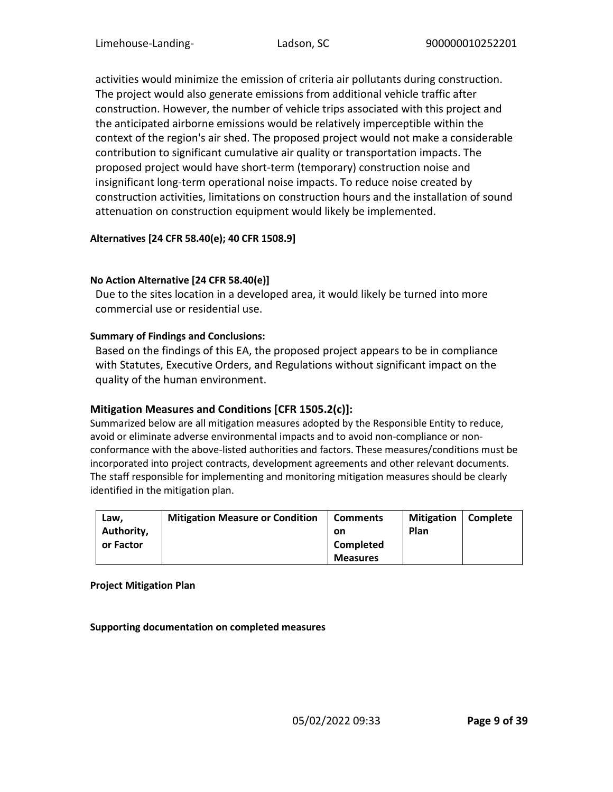activities would minimize the emission of criteria air pollutants during construction. The project would also generate emissions from additional vehicle traffic after construction. However, the number of vehicle trips associated with this project and the anticipated airborne emissions would be relatively imperceptible within the context of the region's air shed. The proposed project would not make a considerable contribution to significant cumulative air quality or transportation impacts. The proposed project would have short-term (temporary) construction noise and insignificant long-term operational noise impacts. To reduce noise created by construction activities, limitations on construction hours and the installation of sound attenuation on construction equipment would likely be implemented.

### **Alternatives [24 CFR 58.40(e); 40 CFR 1508.9]**

### **No Action Alternative [24 CFR 58.40(e)]**

Due to the sites location in a developed area, it would likely be turned into more commercial use or residential use.

### **Summary of Findings and Conclusions:**

Based on the findings of this EA, the proposed project appears to be in compliance with Statutes, Executive Orders, and Regulations without significant impact on the quality of the human environment.

### **Mitigation Measures and Conditions [CFR 1505.2(c)]:**

Summarized below are all mitigation measures adopted by the Responsible Entity to reduce, avoid or eliminate adverse environmental impacts and to avoid non-compliance or nonconformance with the above-listed authorities and factors. These measures/conditions must be incorporated into project contracts, development agreements and other relevant documents. The staff responsible for implementing and monitoring mitigation measures should be clearly identified in the mitigation plan.

| Law,       | <b>Mitigation Measure or Condition</b> | Comments         | <b>Mitigation</b> | Complete |
|------------|----------------------------------------|------------------|-------------------|----------|
| Authority, |                                        | on               | Plan              |          |
| or Factor  |                                        | <b>Completed</b> |                   |          |
|            |                                        | <b>Measures</b>  |                   |          |

**Project Mitigation Plan**

**Supporting documentation on completed measures**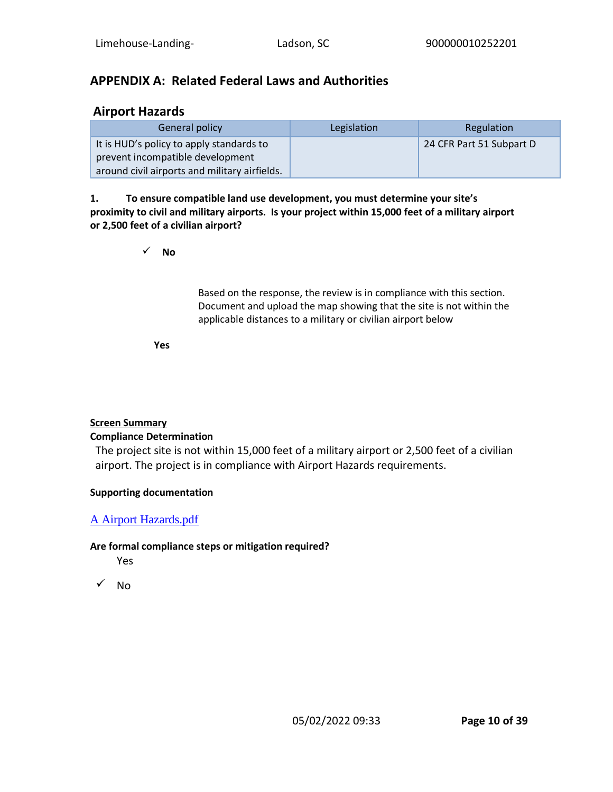# **APPENDIX A: Related Federal Laws and Authorities**

# **Airport Hazards**

| General policy                                | Legislation | Regulation               |
|-----------------------------------------------|-------------|--------------------------|
| It is HUD's policy to apply standards to      |             | 24 CFR Part 51 Subpart D |
| prevent incompatible development              |             |                          |
| around civil airports and military airfields. |             |                          |

**1. To ensure compatible land use development, you must determine your site's proximity to civil and military airports. Is your project within 15,000 feet of a military airport or 2,500 feet of a civilian airport?**

✓ **No**

Based on the response, the review is in compliance with this section. Document and upload the map showing that the site is not within the applicable distances to a military or civilian airport below

**Yes**

### **Screen Summary Compliance Determination**

The project site is not within 15,000 feet of a military airport or 2,500 feet of a civilian airport. The project is in compliance with Airport Hazards requirements.

### **Supporting documentation**

### [A Airport Hazards.pdf](https://www.onecpd.info/reports/ESD_900000010252201_05212022_900000011325950_1651498204603.pdf)

### **Are formal compliance steps or mitigation required?**

Yes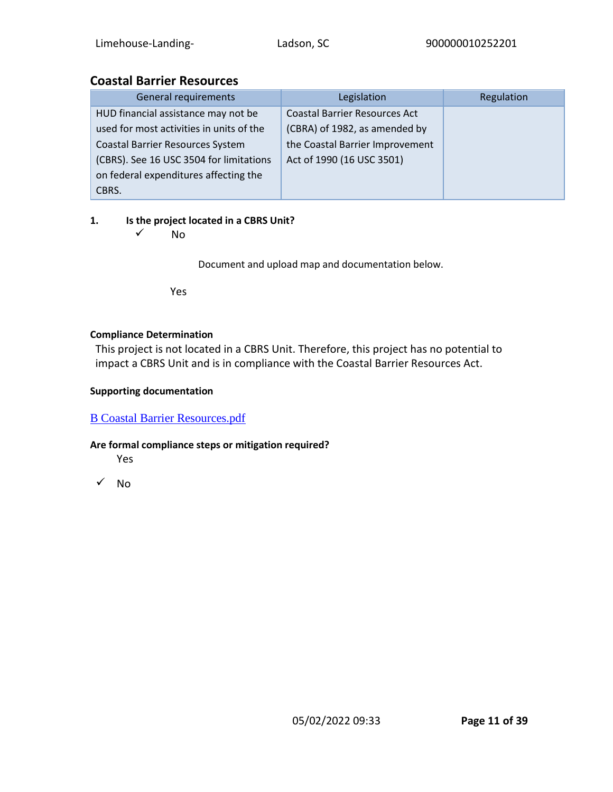# **Coastal Barrier Resources**

| General requirements                     | Legislation                          | Regulation |
|------------------------------------------|--------------------------------------|------------|
| HUD financial assistance may not be      | <b>Coastal Barrier Resources Act</b> |            |
| used for most activities in units of the | (CBRA) of 1982, as amended by        |            |
| <b>Coastal Barrier Resources System</b>  | the Coastal Barrier Improvement      |            |
| (CBRS). See 16 USC 3504 for limitations  | Act of 1990 (16 USC 3501)            |            |
| on federal expenditures affecting the    |                                      |            |
| CBRS.                                    |                                      |            |

### **1. Is the project located in a CBRS Unit?**

 $\checkmark$  No

Document and upload map and documentation below.

Yes

### **Compliance Determination**

This project is not located in a CBRS Unit. Therefore, this project has no potential to impact a CBRS Unit and is in compliance with the Coastal Barrier Resources Act.

#### **Supporting documentation**

### [B Coastal Barrier Resources.pdf](https://www.onecpd.info/reports/ESD_900000010252201_05212022_900000011325959_1651498204603.pdf)

### **Are formal compliance steps or mitigation required?**

Yes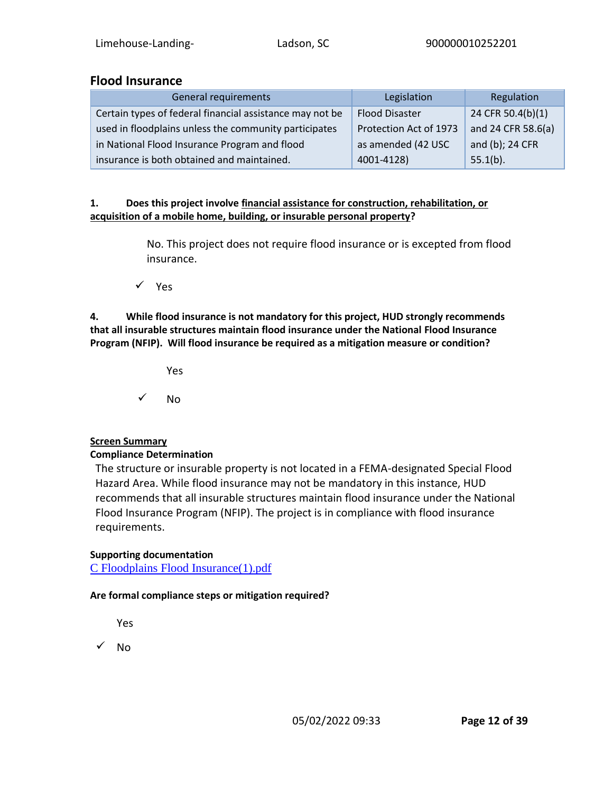### **Flood Insurance**

| General requirements                                     | Legislation            | Regulation         |
|----------------------------------------------------------|------------------------|--------------------|
| Certain types of federal financial assistance may not be | <b>Flood Disaster</b>  | 24 CFR 50.4(b)(1)  |
| used in floodplains unless the community participates    | Protection Act of 1973 | and 24 CFR 58.6(a) |
| in National Flood Insurance Program and flood            | as amended (42 USC     | and (b); 24 CFR    |
| insurance is both obtained and maintained.               | 4001-4128)             | $55.1(b)$ .        |

### **1. Does this project involve financial assistance for construction, rehabilitation, or acquisition of a mobile home, building, or insurable personal property?**

No. This project does not require flood insurance or is excepted from flood insurance.

✓ Yes

**4. While flood insurance is not mandatory for this project, HUD strongly recommends that all insurable structures maintain flood insurance under the National Flood Insurance Program (NFIP). Will flood insurance be required as a mitigation measure or condition?**

Yes

✓ No

### **Screen Summary**

### **Compliance Determination**

The structure or insurable property is not located in a FEMA-designated Special Flood Hazard Area. While flood insurance may not be mandatory in this instance, HUD recommends that all insurable structures maintain flood insurance under the National Flood Insurance Program (NFIP). The project is in compliance with flood insurance requirements.

### **Supporting documentation**

[C Floodplains Flood Insurance\(1\).pdf](https://www.onecpd.info/reports/ESD_900000010252201_05212022_900000011325966_1651498204603.pdf)

### **Are formal compliance steps or mitigation required?**

Yes

 $\sqrt{ }$  No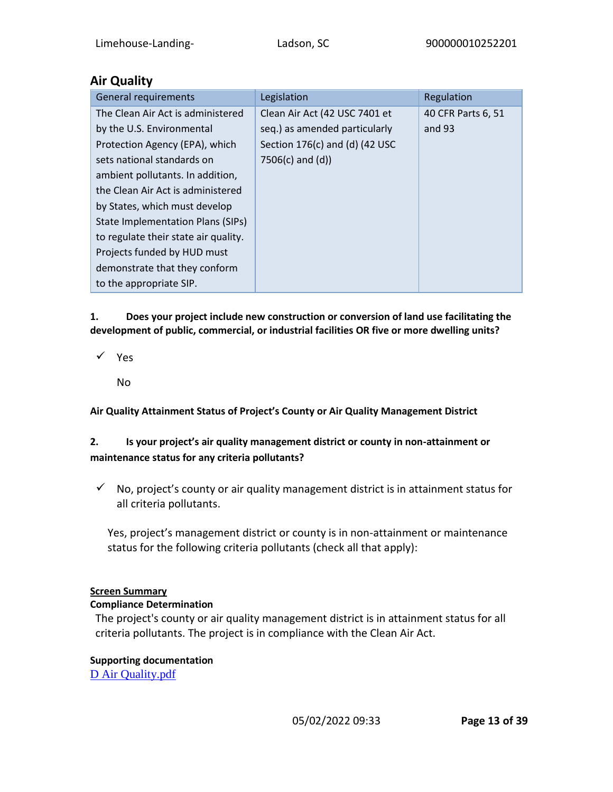# **Air Quality**

| <b>General requirements</b>          | Legislation                      | Regulation         |
|--------------------------------------|----------------------------------|--------------------|
| The Clean Air Act is administered    | Clean Air Act (42 USC 7401 et    | 40 CFR Parts 6, 51 |
| by the U.S. Environmental            | seq.) as amended particularly    | and 93             |
| Protection Agency (EPA), which       | Section $176(c)$ and (d) (42 USC |                    |
| sets national standards on           | $7506(c)$ and $(d)$              |                    |
| ambient pollutants. In addition,     |                                  |                    |
| the Clean Air Act is administered    |                                  |                    |
| by States, which must develop        |                                  |                    |
| State Implementation Plans (SIPs)    |                                  |                    |
| to regulate their state air quality. |                                  |                    |
| Projects funded by HUD must          |                                  |                    |
| demonstrate that they conform        |                                  |                    |
| to the appropriate SIP.              |                                  |                    |

### **1. Does your project include new construction or conversion of land use facilitating the development of public, commercial, or industrial facilities OR five or more dwelling units?**

- ✓ Yes
	- No

### **Air Quality Attainment Status of Project's County or Air Quality Management District**

# **2. Is your project's air quality management district or county in non-attainment or maintenance status for any criteria pollutants?**

 $\checkmark$  No, project's county or air quality management district is in attainment status for all criteria pollutants.

Yes, project's management district or county is in non-attainment or maintenance status for the following criteria pollutants (check all that apply):

### **Screen Summary**

### **Compliance Determination**

The project's county or air quality management district is in attainment status for all criteria pollutants. The project is in compliance with the Clean Air Act.

### **Supporting documentation**

[D Air Quality.pdf](https://www.onecpd.info/reports/ESD_900000010252201_05212022_900000011325982_1651498204603.pdf)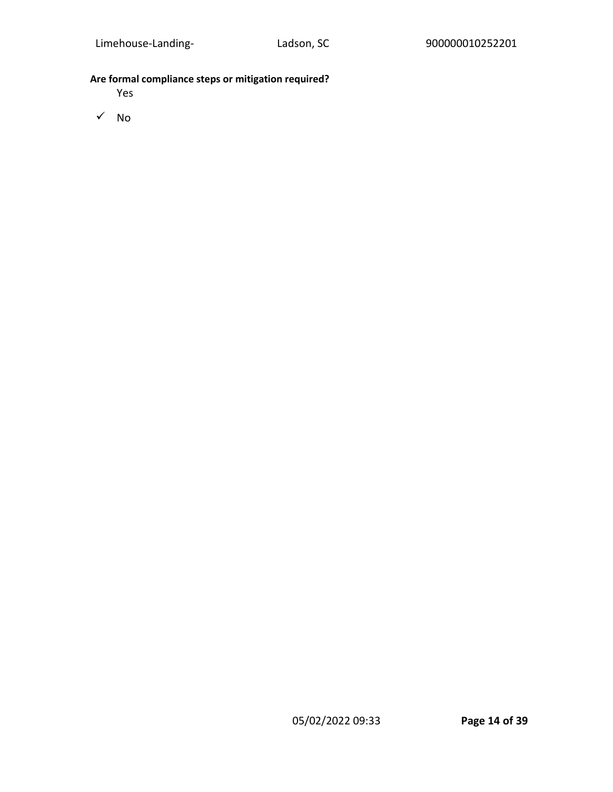# **Are formal compliance steps or mitigation required?**

Yes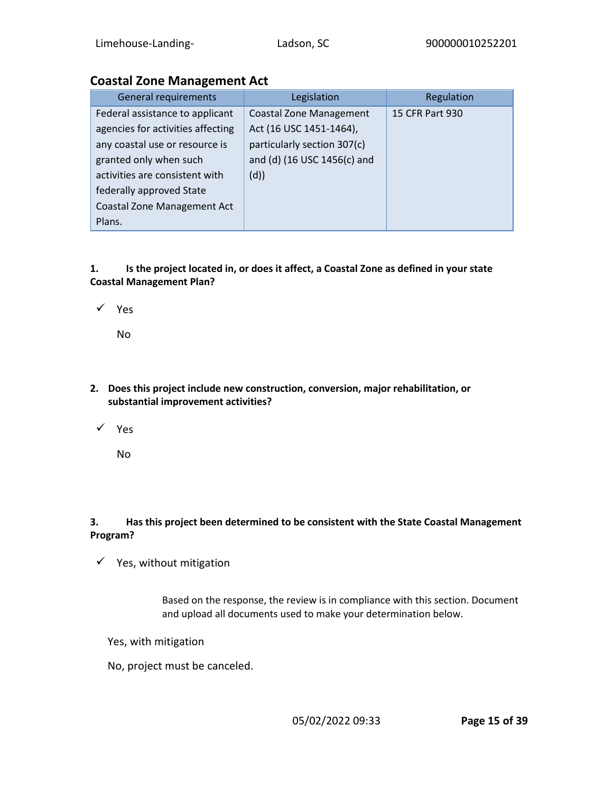# **Coastal Zone Management Act**

| <b>General requirements</b>        | Legislation                    | Regulation      |
|------------------------------------|--------------------------------|-----------------|
| Federal assistance to applicant    | <b>Coastal Zone Management</b> | 15 CFR Part 930 |
| agencies for activities affecting  | Act (16 USC 1451-1464),        |                 |
| any coastal use or resource is     | particularly section 307(c)    |                 |
| granted only when such             | and (d) (16 USC 1456(c) and    |                 |
| activities are consistent with     | (d)                            |                 |
| federally approved State           |                                |                 |
| <b>Coastal Zone Management Act</b> |                                |                 |
| Plans.                             |                                |                 |

**1. Is the project located in, or does it affect, a Coastal Zone as defined in your state Coastal Management Plan?**

✓ Yes

No

- **2. Does this project include new construction, conversion, major rehabilitation, or substantial improvement activities?**
- ✓ Yes

No

### **3. Has this project been determined to be consistent with the State Coastal Management Program?**

 $\checkmark$  Yes, without mitigation

Based on the response, the review is in compliance with this section. Document and upload all documents used to make your determination below.

Yes, with mitigation

No, project must be canceled.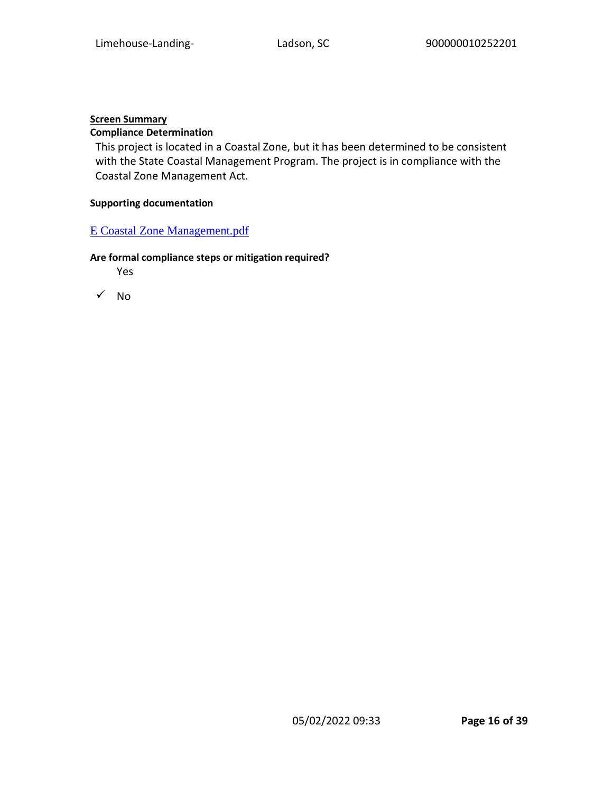### **Screen Summary**

#### **Compliance Determination**

This project is located in a Coastal Zone, but it has been determined to be consistent with the State Coastal Management Program. The project is in compliance with the Coastal Zone Management Act.

#### **Supporting documentation**

### [E Coastal Zone Management.pdf](https://www.onecpd.info/reports/ESD_900000010252201_05212022_900000011325997_1651498204603.pdf)

#### **Are formal compliance steps or mitigation required?**

Yes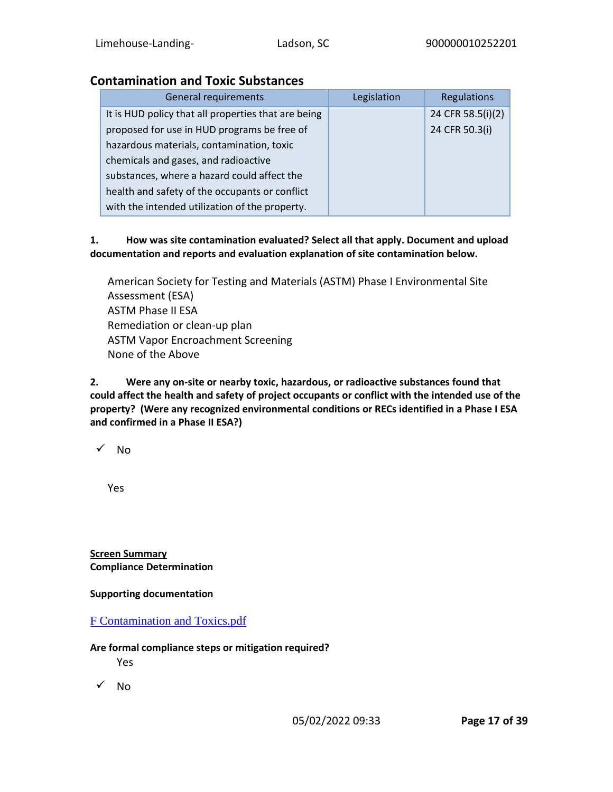# **Contamination and Toxic Substances**

| <b>General requirements</b>                         | Legislation | Regulations       |
|-----------------------------------------------------|-------------|-------------------|
| It is HUD policy that all properties that are being |             | 24 CFR 58.5(i)(2) |
| proposed for use in HUD programs be free of         |             | 24 CFR 50.3(i)    |
| hazardous materials, contamination, toxic           |             |                   |
| chemicals and gases, and radioactive                |             |                   |
| substances, where a hazard could affect the         |             |                   |
| health and safety of the occupants or conflict      |             |                   |
| with the intended utilization of the property.      |             |                   |

### **1. How was site contamination evaluated? Select all that apply. Document and upload documentation and reports and evaluation explanation of site contamination below.**

American Society for Testing and Materials (ASTM) Phase I Environmental Site Assessment (ESA) ASTM Phase II ESA Remediation or clean-up plan ASTM Vapor Encroachment Screening None of the Above

**2. Were any on-site or nearby toxic, hazardous, or radioactive substances found that could affect the health and safety of project occupants or conflict with the intended use of the property? (Were any recognized environmental conditions or RECs identified in a Phase I ESA and confirmed in a Phase II ESA?)**

✓ No

Yes

**Screen Summary Compliance Determination**

### **Supporting documentation**

[F Contamination and Toxics.pdf](https://www.onecpd.info/reports/ESD_900000010252201_05212022_900000011326021_1651498204603.pdf)

### **Are formal compliance steps or mitigation required?**

Yes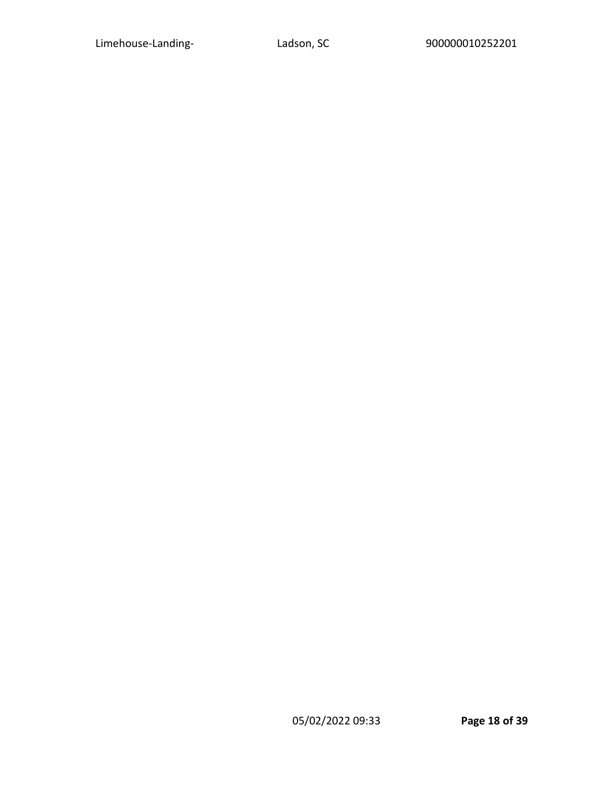05/02/2022 09:33 **Page 18 of 39**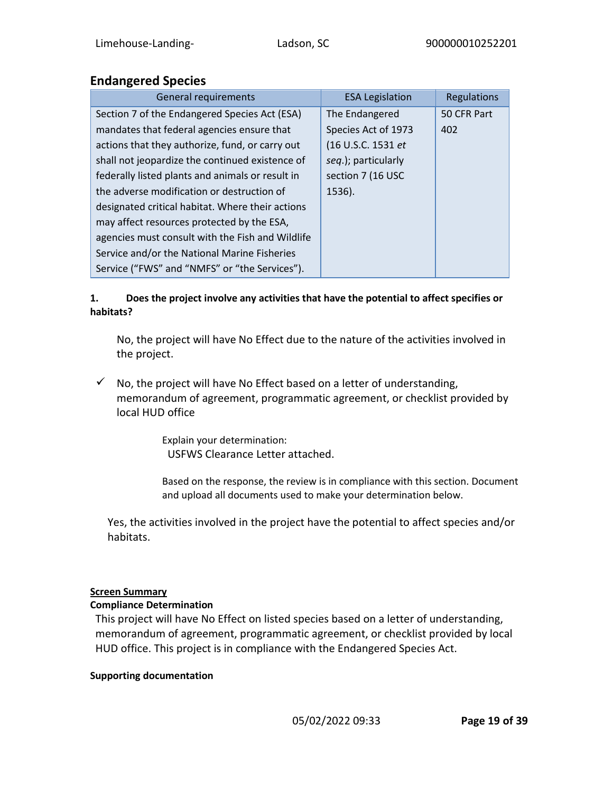# **Endangered Species**

| <b>General requirements</b>                      | <b>ESA Legislation</b> | Regulations |
|--------------------------------------------------|------------------------|-------------|
| Section 7 of the Endangered Species Act (ESA)    | The Endangered         | 50 CFR Part |
| mandates that federal agencies ensure that       | Species Act of 1973    | 402         |
| actions that they authorize, fund, or carry out  | (16 U.S.C. 1531 et     |             |
| shall not jeopardize the continued existence of  | seq.); particularly    |             |
| federally listed plants and animals or result in | section 7 (16 USC      |             |
| the adverse modification or destruction of       | 1536).                 |             |
| designated critical habitat. Where their actions |                        |             |
| may affect resources protected by the ESA,       |                        |             |
| agencies must consult with the Fish and Wildlife |                        |             |
| Service and/or the National Marine Fisheries     |                        |             |
| Service ("FWS" and "NMFS" or "the Services").    |                        |             |

### **1. Does the project involve any activities that have the potential to affect specifies or habitats?**

No, the project will have No Effect due to the nature of the activities involved in the project.

 $\checkmark$  No, the project will have No Effect based on a letter of understanding, memorandum of agreement, programmatic agreement, or checklist provided by local HUD office

> Explain your determination: USFWS Clearance Letter attached.

Based on the response, the review is in compliance with this section. Document and upload all documents used to make your determination below.

Yes, the activities involved in the project have the potential to affect species and/or habitats.

### **Screen Summary**

### **Compliance Determination**

This project will have No Effect on listed species based on a letter of understanding, memorandum of agreement, programmatic agreement, or checklist provided by local HUD office. This project is in compliance with the Endangered Species Act.

### **Supporting documentation**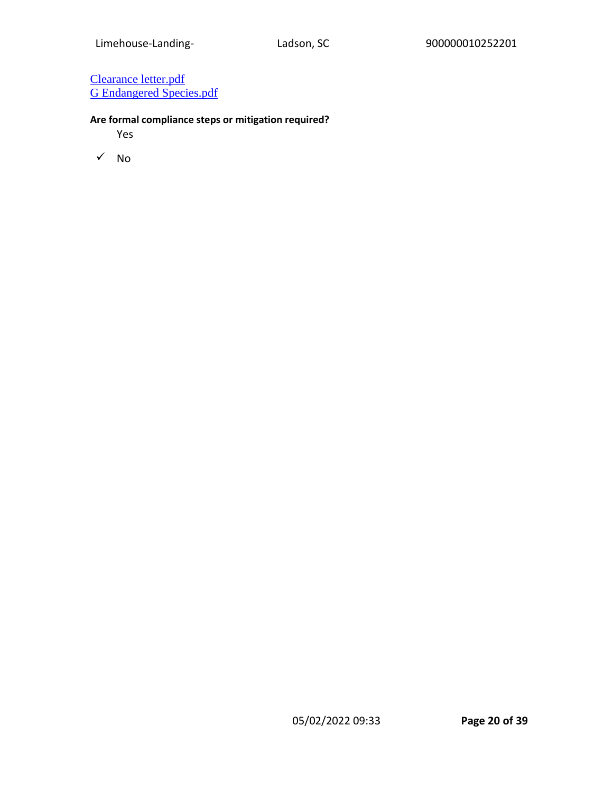### [Clearance letter.pdf](https://www.onecpd.info/reports/ESD_900000010252201_05212022_900000011328692_1651498204603.pdf) [G Endangered Species.pdf](https://www.onecpd.info/reports/ESD_900000010252201_05212022_900000011328691_1651498204603.pdf)

### **Are formal compliance steps or mitigation required?**

Yes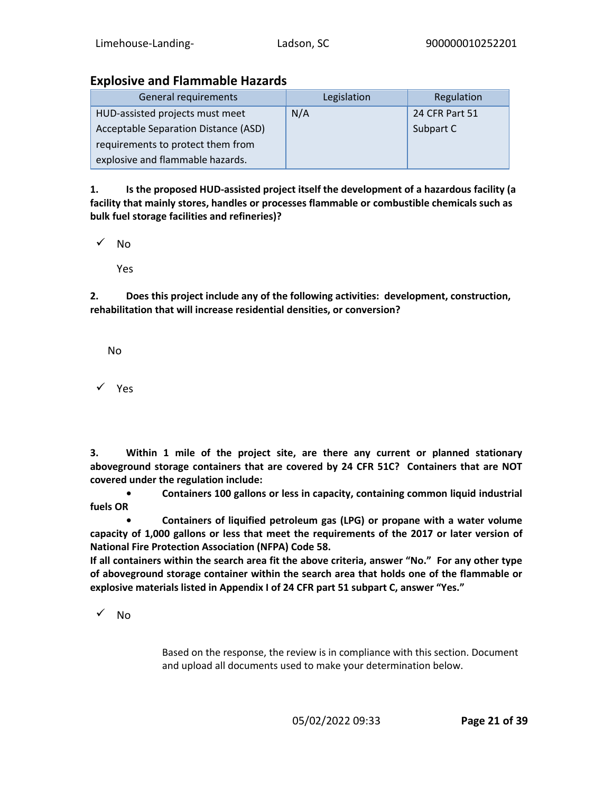# **Explosive and Flammable Hazards**

| General requirements                 | Legislation | Regulation     |
|--------------------------------------|-------------|----------------|
| HUD-assisted projects must meet      | N/A         | 24 CFR Part 51 |
| Acceptable Separation Distance (ASD) |             | Subpart C      |
| requirements to protect them from    |             |                |
| explosive and flammable hazards.     |             |                |

**1. Is the proposed HUD-assisted project itself the development of a hazardous facility (a facility that mainly stores, handles or processes flammable or combustible chemicals such as bulk fuel storage facilities and refineries)?**

 $\sqrt{ }$  No

Yes

**2. Does this project include any of the following activities: development, construction, rehabilitation that will increase residential densities, or conversion?**

No

✓ Yes

**3. Within 1 mile of the project site, are there any current or planned stationary aboveground storage containers that are covered by 24 CFR 51C? Containers that are NOT covered under the regulation include:**

**• Containers 100 gallons or less in capacity, containing common liquid industrial fuels OR** 

**• Containers of liquified petroleum gas (LPG) or propane with a water volume capacity of 1,000 gallons or less that meet the requirements of the 2017 or later version of National Fire Protection Association (NFPA) Code 58.**

**If all containers within the search area fit the above criteria, answer "No." For any other type of aboveground storage container within the search area that holds one of the flammable or explosive materials listed in Appendix I of 24 CFR part 51 subpart C, answer "Yes."**

✓ No

Based on the response, the review is in compliance with this section. Document and upload all documents used to make your determination below.

05/02/2022 09:33 **Page 21 of 39**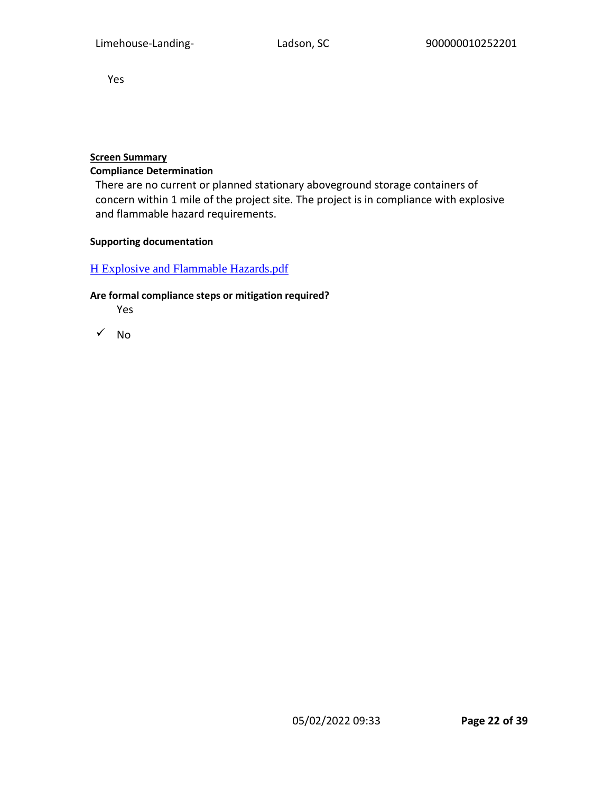Yes

# **Screen Summary**

### **Compliance Determination**

There are no current or planned stationary aboveground storage containers of concern within 1 mile of the project site. The project is in compliance with explosive and flammable hazard requirements.

### **Supporting documentation**

# [H Explosive and Flammable Hazards.pdf](https://www.onecpd.info/reports/ESD_900000010252201_05212022_900000011326125_1651498204603.pdf)

### **Are formal compliance steps or mitigation required?**

Yes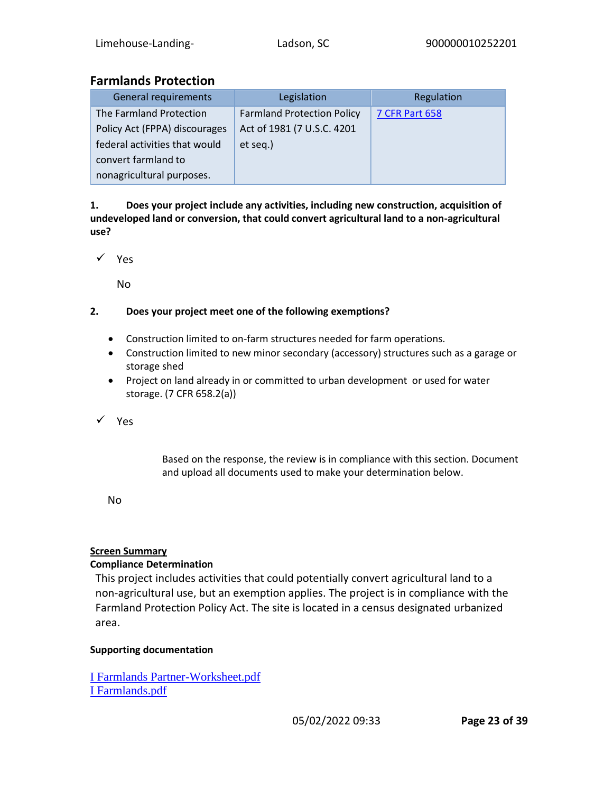# **Farmlands Protection**

| <b>General requirements</b>   | Legislation                       | Regulation            |
|-------------------------------|-----------------------------------|-----------------------|
| The Farmland Protection       | <b>Farmland Protection Policy</b> | <b>7 CFR Part 658</b> |
| Policy Act (FPPA) discourages | Act of 1981 (7 U.S.C. 4201        |                       |
| federal activities that would | et seq.)                          |                       |
| convert farmland to           |                                   |                       |
| nonagricultural purposes.     |                                   |                       |

**1. Does your project include any activities, including new construction, acquisition of undeveloped land or conversion, that could convert agricultural land to a non-agricultural use?**

✓ Yes

No

### **2. Does your project meet one of the following exemptions?**

- Construction limited to on-farm structures needed for farm operations.
- Construction limited to new minor secondary (accessory) structures such as a garage or storage shed
- Project on land already in or committed to urban development or used for water storage. (7 CFR 658.2(a))

✓ Yes

Based on the response, the review is in compliance with this section. Document and upload all documents used to make your determination below.

No

### **Screen Summary**

### **Compliance Determination**

This project includes activities that could potentially convert agricultural land to a non-agricultural use, but an exemption applies. The project is in compliance with the Farmland Protection Policy Act. The site is located in a census designated urbanized area.

### **Supporting documentation**

[I Farmlands Partner-Worksheet.pdf](https://www.onecpd.info/reports/ESD_900000010252201_05212022_900000011326151_1651498204603.pdf) [I Farmlands.pdf](https://www.onecpd.info/reports/ESD_900000010252201_05212022_900000011326150_1651498204603.pdf)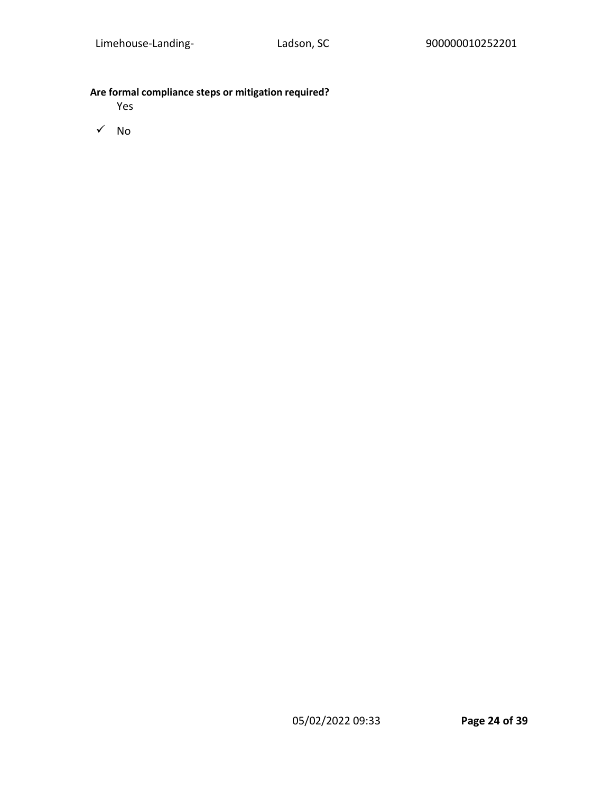### **Are formal compliance steps or mitigation required?**

Yes

✓ No

05/02/2022 09:33 **Page 24 of 39**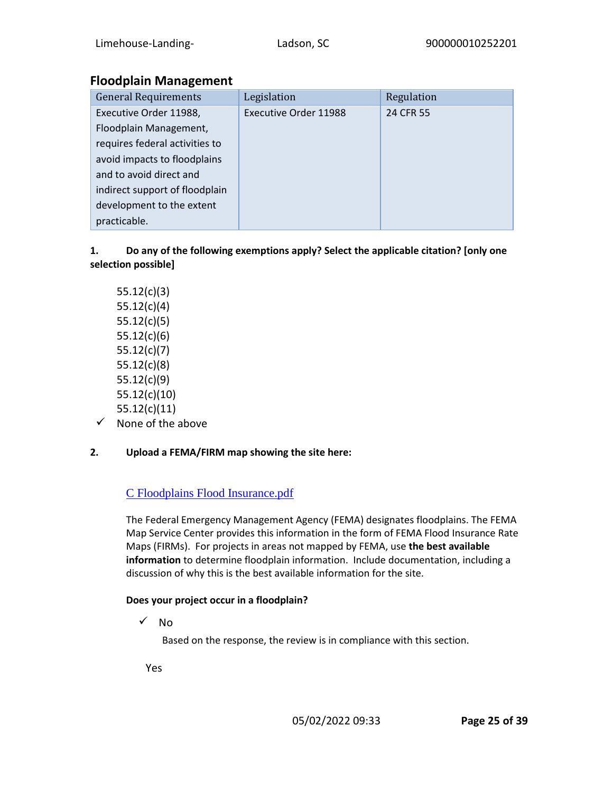# **Floodplain Management**

| <b>General Requirements</b>    | Legislation                  | Regulation |
|--------------------------------|------------------------------|------------|
| Executive Order 11988,         | <b>Executive Order 11988</b> | 24 CFR 55  |
| Floodplain Management,         |                              |            |
| requires federal activities to |                              |            |
| avoid impacts to floodplains   |                              |            |
| and to avoid direct and        |                              |            |
| indirect support of floodplain |                              |            |
| development to the extent      |                              |            |
| practicable.                   |                              |            |

### **1. Do any of the following exemptions apply? Select the applicable citation? [only one selection possible]**

- 55.12(c)(3) 55.12(c)(4) 55.12(c)(5) 55.12(c)(6) 55.12(c)(7) 55.12(c)(8) 55.12(c)(9) 55.12(c)(10) 55.12(c)(11)
- ✓ None of the above

# **2. Upload a FEMA/FIRM map showing the site here:**

# [C Floodplains Flood Insurance.pdf](https://www.onecpd.info/reports/ESD_900000010252201_05212022_900000011325965_1651498204603.pdf)

The Federal Emergency Management Agency (FEMA) designates floodplains. The FEMA Map Service Center provides this information in the form of FEMA Flood Insurance Rate Maps (FIRMs). For projects in areas not mapped by FEMA, use **the best available information** to determine floodplain information. Include documentation, including a discussion of why this is the best available information for the site.

### **Does your project occur in a floodplain?**

✓ No

Based on the response, the review is in compliance with this section.

Yes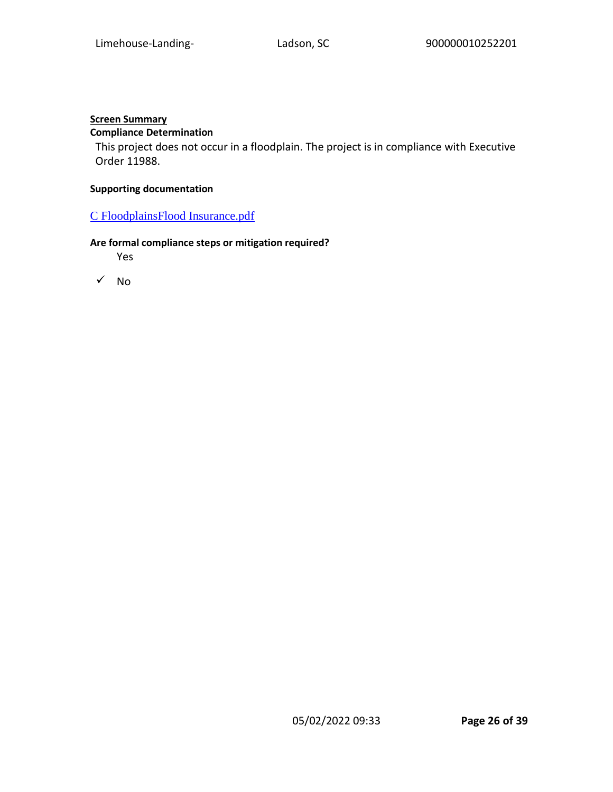# **Screen Summary**

### **Compliance Determination**

This project does not occur in a floodplain. The project is in compliance with Executive Order 11988.

#### **Supporting documentation**

### [C FloodplainsFlood Insurance.pdf](https://www.onecpd.info/reports/ESD_900000010252201_05212022_900000011326155_1651498204603.pdf)

#### **Are formal compliance steps or mitigation required?**

Yes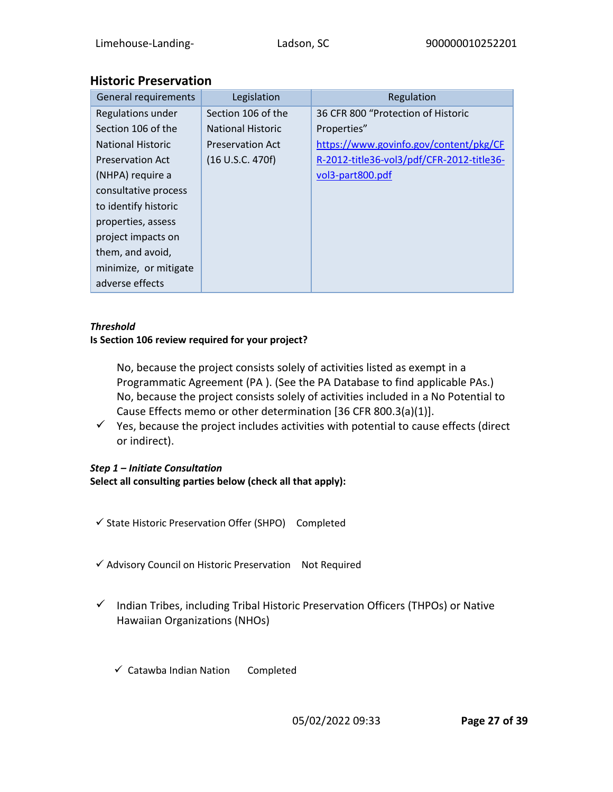# **Historic Preservation**

| General requirements     | Legislation              | Regulation                                |
|--------------------------|--------------------------|-------------------------------------------|
| Regulations under        | Section 106 of the       | 36 CFR 800 "Protection of Historic        |
| Section 106 of the       | <b>National Historic</b> | Properties"                               |
| <b>National Historic</b> | <b>Preservation Act</b>  | https://www.govinfo.gov/content/pkg/CF    |
| <b>Preservation Act</b>  | (16 U.S.C. 470f)         | R-2012-title36-vol3/pdf/CFR-2012-title36- |
| (NHPA) require a         |                          | vol3-part800.pdf                          |
| consultative process     |                          |                                           |
| to identify historic     |                          |                                           |
| properties, assess       |                          |                                           |
| project impacts on       |                          |                                           |
| them, and avoid,         |                          |                                           |
| minimize, or mitigate    |                          |                                           |
| adverse effects          |                          |                                           |

### *Threshold*

### **Is Section 106 review required for your project?**

No, because the project consists solely of activities listed as exempt in a Programmatic Agreement (PA ). (See the PA Database to find applicable PAs.) No, because the project consists solely of activities included in a No Potential to Cause Effects memo or other determination [36 CFR 800.3(a)(1)].

 $\checkmark$  Yes, because the project includes activities with potential to cause effects (direct or indirect).

# *Step 1 – Initiate Consultation*

**Select all consulting parties below (check all that apply):**

- ✓ State Historic Preservation Offer (SHPO) Completed
- ✓ Advisory Council on Historic Preservation Not Required
- ✓ Indian Tribes, including Tribal Historic Preservation Officers (THPOs) or Native Hawaiian Organizations (NHOs)
	- ✓ Catawba Indian Nation Completed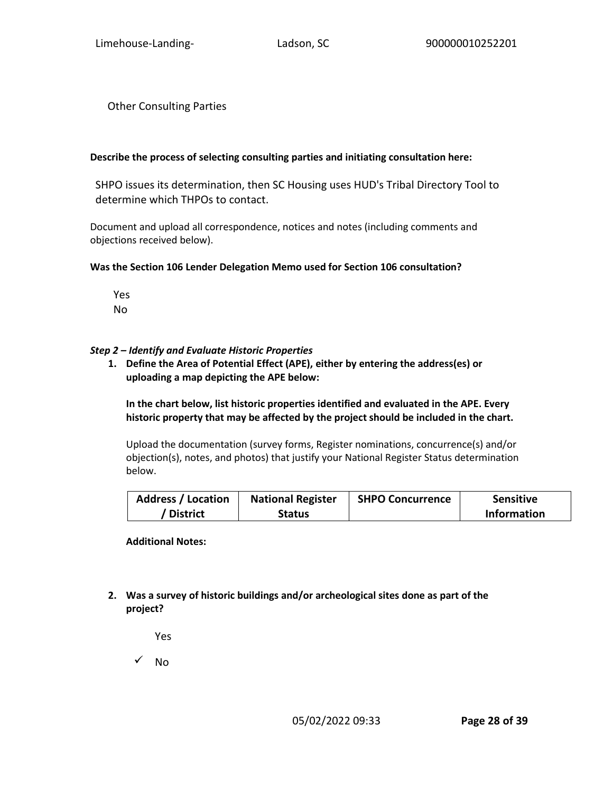Other Consulting Parties

#### **Describe the process of selecting consulting parties and initiating consultation here:**

SHPO issues its determination, then SC Housing uses HUD's Tribal Directory Tool to determine which THPOs to contact.

Document and upload all correspondence, notices and notes (including comments and objections received below).

**Was the Section 106 Lender Delegation Memo used for Section 106 consultation?**

Yes No

#### *Step 2 – Identify and Evaluate Historic Properties*

**1. Define the Area of Potential Effect (APE), either by entering the address(es) or uploading a map depicting the APE below:**

**In the chart below, list historic properties identified and evaluated in the APE. Every historic property that may be affected by the project should be included in the chart.**

Upload the documentation (survey forms, Register nominations, concurrence(s) and/or objection(s), notes, and photos) that justify your National Register Status determination below.

| <b>Address / Location</b> | <b>National Register</b> | <b>SHPO Concurrence</b> | <b>Sensitive</b> |
|---------------------------|--------------------------|-------------------------|------------------|
| / District                | <b>Status</b>            |                         | Information      |

#### **Additional Notes:**

**2. Was a survey of historic buildings and/or archeological sites done as part of the project?**

Yes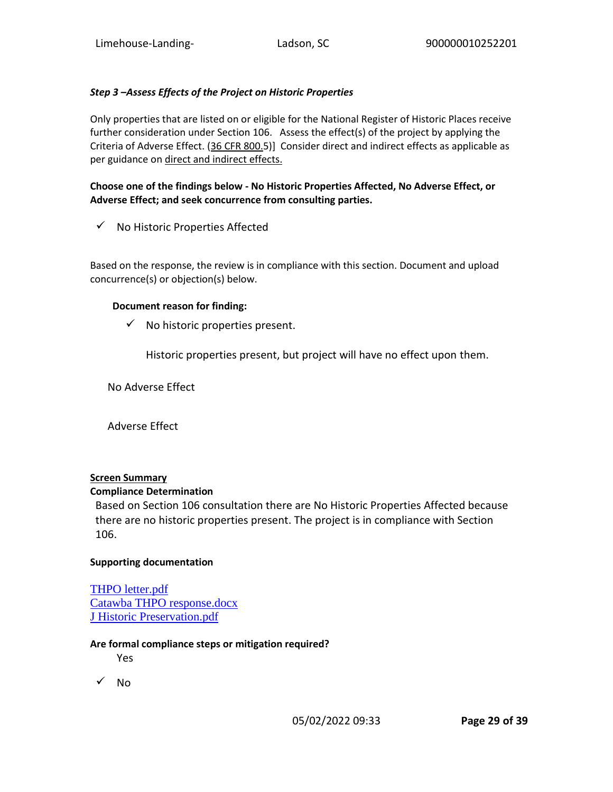### *Step 3 –Assess Effects of the Project on Historic Properties*

Only properties that are listed on or eligible for the National Register of Historic Places receive further consideration under Section 106. Assess the effect(s) of the project by applying the Criteria of Adverse Effect. (36 CFR 800.5)] Consider direct and indirect effects as applicable as per guidance on direct and indirect effects.

### **Choose one of the findings below - No Historic Properties Affected, No Adverse Effect, or Adverse Effect; and seek concurrence from consulting parties.**

✓ No Historic Properties Affected

Based on the response, the review is in compliance with this section. Document and upload concurrence(s) or objection(s) below.

#### **Document reason for finding:**

 $\checkmark$  No historic properties present.

Historic properties present, but project will have no effect upon them.

No Adverse Effect

Adverse Effect

### **Screen Summary**

#### **Compliance Determination**

Based on Section 106 consultation there are No Historic Properties Affected because there are no historic properties present. The project is in compliance with Section 106.

#### **Supporting documentation**

[THPO letter.pdf](https://www.onecpd.info/reports/ESD_900000010252201_05212022_900000011326450_1651498204603.pdf) [Catawba THPO response.docx](https://www.onecpd.info/reports/ESD_900000010252201_05212022_900000011326447_1651498204603.docx) [J Historic Preservation.pdf](https://www.onecpd.info/reports/ESD_900000010252201_05212022_900000011326445_1651498204603.pdf)

#### **Are formal compliance steps or mitigation required?**

Yes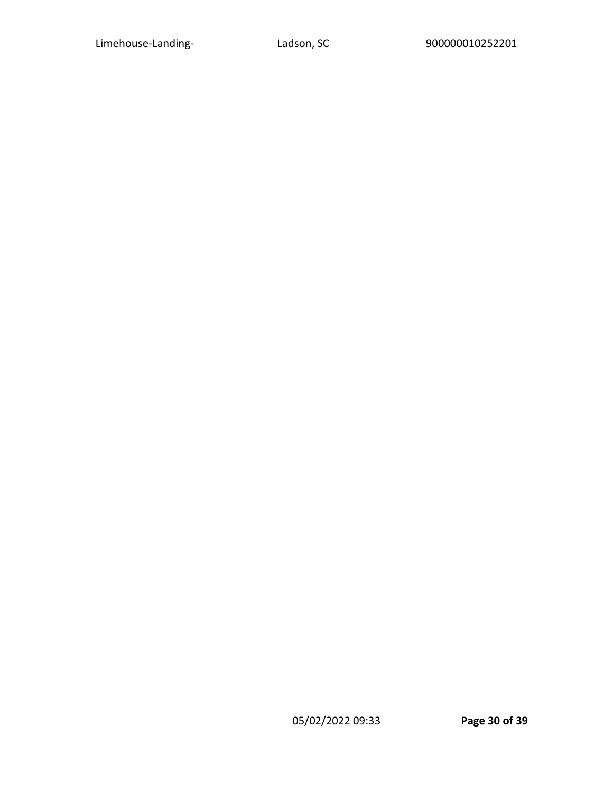05/02/2022 09:33 **Page 30 of 39**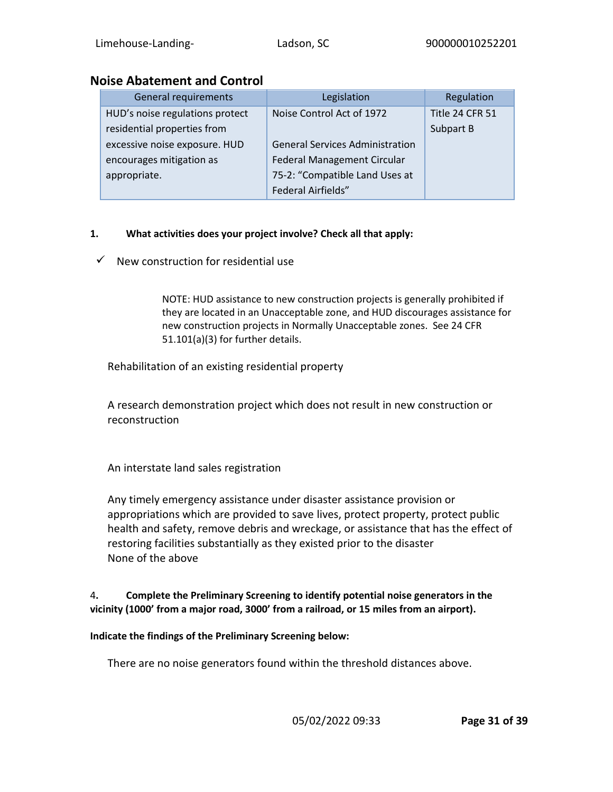### **Noise Abatement and Control**

| General requirements            | Legislation                            | Regulation      |
|---------------------------------|----------------------------------------|-----------------|
| HUD's noise regulations protect | Noise Control Act of 1972              | Title 24 CFR 51 |
| residential properties from     |                                        | Subpart B       |
| excessive noise exposure. HUD   | <b>General Services Administration</b> |                 |
| encourages mitigation as        | Federal Management Circular            |                 |
| appropriate.                    | 75-2: "Compatible Land Uses at         |                 |
|                                 | <b>Federal Airfields"</b>              |                 |

### **1. What activities does your project involve? Check all that apply:**

 $\checkmark$  New construction for residential use

NOTE: HUD assistance to new construction projects is generally prohibited if they are located in an Unacceptable zone, and HUD discourages assistance for new construction projects in Normally Unacceptable zones. See 24 CFR 51.101(a)(3) for further details.

Rehabilitation of an existing residential property

A research demonstration project which does not result in new construction or reconstruction

An interstate land sales registration

Any timely emergency assistance under disaster assistance provision or appropriations which are provided to save lives, protect property, protect public health and safety, remove debris and wreckage, or assistance that has the effect of restoring facilities substantially as they existed prior to the disaster None of the above

### 4**. Complete the Preliminary Screening to identify potential noise generators in the vicinity (1000' from a major road, 3000' from a railroad, or 15 miles from an airport).**

### **Indicate the findings of the Preliminary Screening below:**

There are no noise generators found within the threshold distances above.

05/02/2022 09:33 **Page 31 of 39**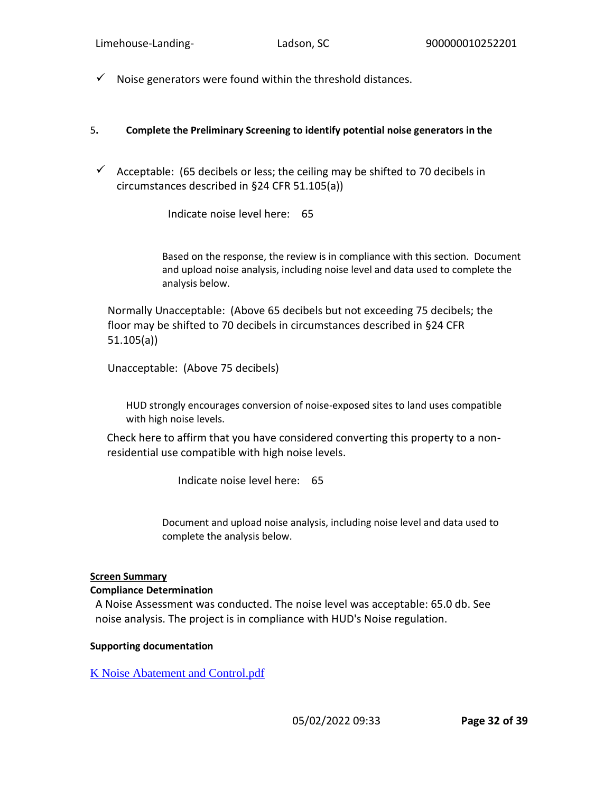$\checkmark$  Noise generators were found within the threshold distances.

#### 5**. Complete the Preliminary Screening to identify potential noise generators in the**

 $\checkmark$  Acceptable: (65 decibels or less; the ceiling may be shifted to 70 decibels in circumstances described in §24 CFR 51.105(a))

Indicate noise level here: 65

Based on the response, the review is in compliance with this section. Document and upload noise analysis, including noise level and data used to complete the analysis below.

Normally Unacceptable: (Above 65 decibels but not exceeding 75 decibels; the floor may be shifted to 70 decibels in circumstances described in §24 CFR 51.105(a))

Unacceptable: (Above 75 decibels)

HUD strongly encourages conversion of noise-exposed sites to land uses compatible with high noise levels.

Check here to affirm that you have considered converting this property to a nonresidential use compatible with high noise levels.

Indicate noise level here: 65

Document and upload noise analysis, including noise level and data used to complete the analysis below.

#### **Screen Summary**

#### **Compliance Determination**

A Noise Assessment was conducted. The noise level was acceptable: 65.0 db. See noise analysis. The project is in compliance with HUD's Noise regulation.

#### **Supporting documentation**

[K Noise Abatement and Control.pdf](https://www.onecpd.info/reports/ESD_900000010252201_05212022_900000011326161_1651498204603.pdf)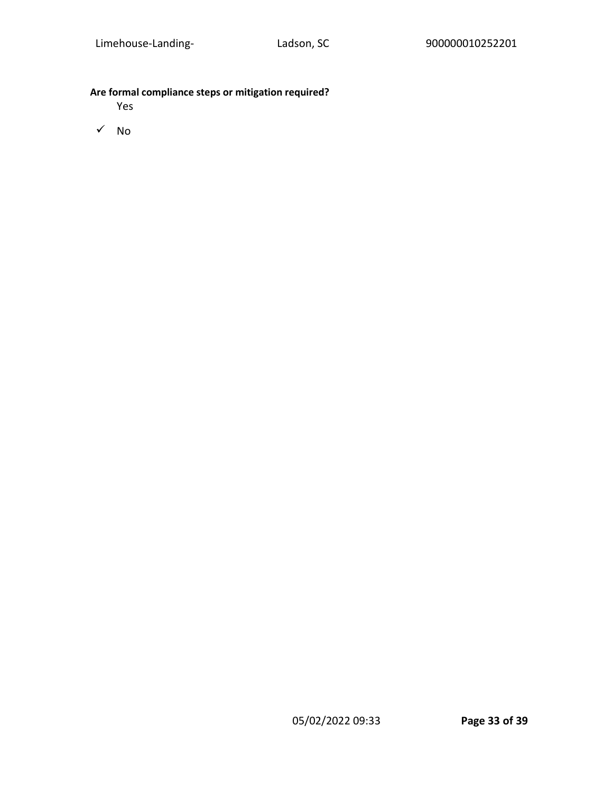### **Are formal compliance steps or mitigation required?**

Yes

✓ No

05/02/2022 09:33 **Page 33 of 39**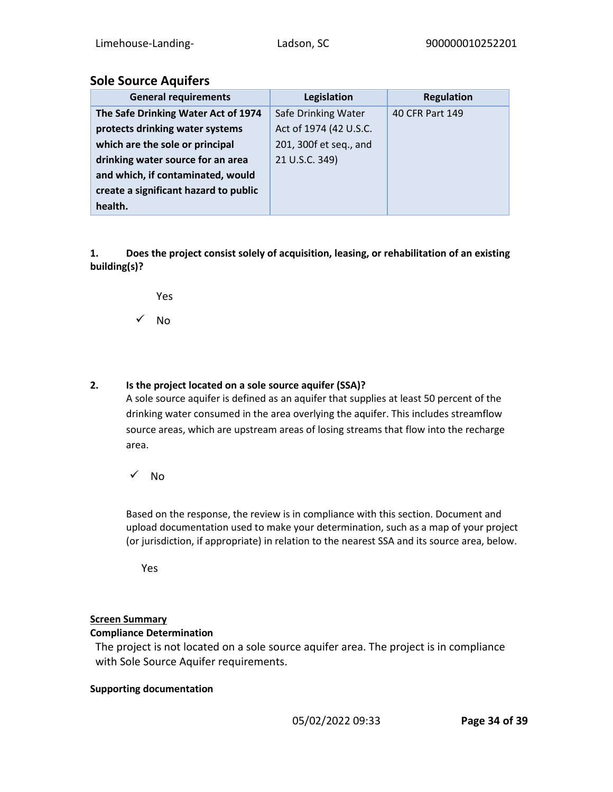# **Sole Source Aquifers**

| <b>General requirements</b>           | Legislation            | <b>Regulation</b> |
|---------------------------------------|------------------------|-------------------|
| The Safe Drinking Water Act of 1974   | Safe Drinking Water    | 40 CFR Part 149   |
| protects drinking water systems       | Act of 1974 (42 U.S.C. |                   |
| which are the sole or principal       | 201, 300f et seq., and |                   |
| drinking water source for an area     | 21 U.S.C. 349)         |                   |
| and which, if contaminated, would     |                        |                   |
| create a significant hazard to public |                        |                   |
| health.                               |                        |                   |

**1. Does the project consist solely of acquisition, leasing, or rehabilitation of an existing building(s)?** 

Yes

✓ No

### **2. Is the project located on a sole source aquifer (SSA)?**

A sole source aquifer is defined as an aquifer that supplies at least 50 percent of the drinking water consumed in the area overlying the aquifer. This includes streamflow source areas, which are upstream areas of losing streams that flow into the recharge area.

✓ No

Based on the response, the review is in compliance with this section. Document and upload documentation used to make your determination, such as a map of your project (or jurisdiction, if appropriate) in relation to the nearest SSA and its source area, below.

Yes

### **Screen Summary**

### **Compliance Determination**

The project is not located on a sole source aquifer area. The project is in compliance with Sole Source Aquifer requirements.

### **Supporting documentation**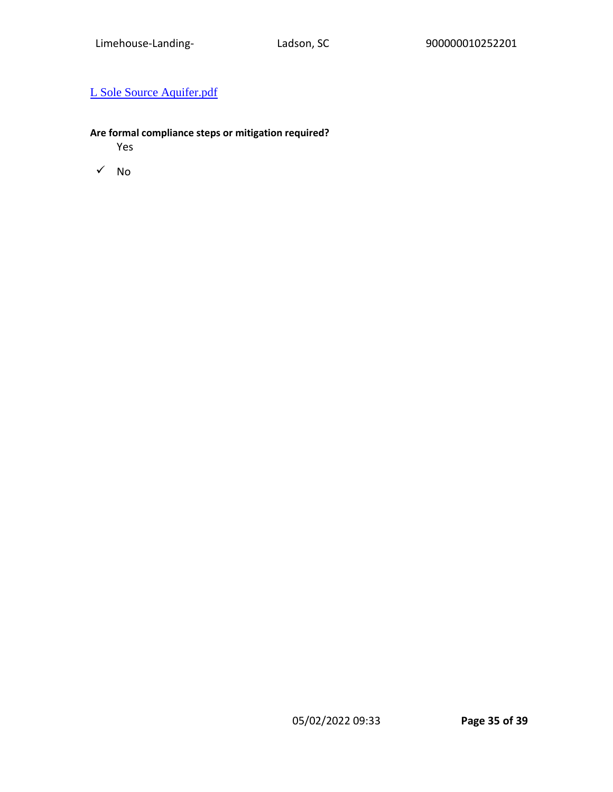# [L Sole Source Aquifer.pdf](https://www.onecpd.info/reports/ESD_900000010252201_05212022_900000011326164_1651498204603.pdf)

### **Are formal compliance steps or mitigation required?**

Yes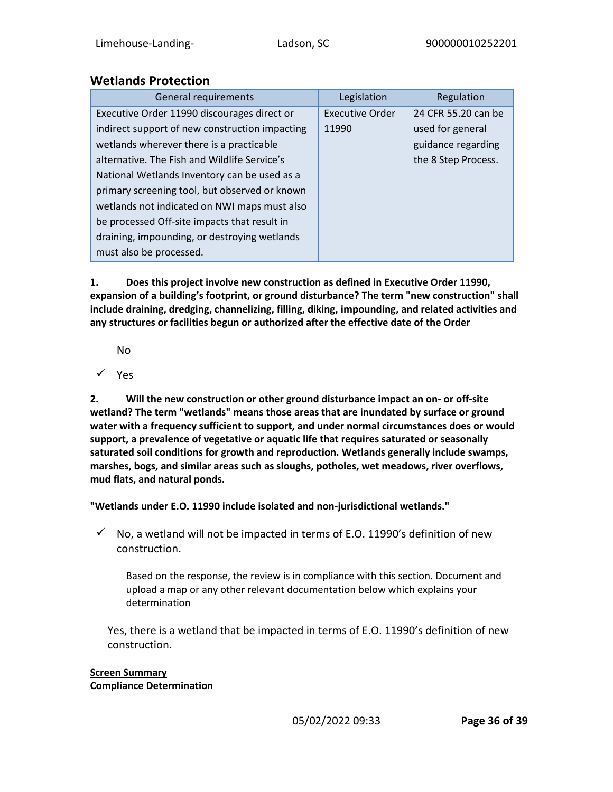# **Wetlands Protection**

| General requirements                           | Legislation            | Regulation          |
|------------------------------------------------|------------------------|---------------------|
| Executive Order 11990 discourages direct or    | <b>Executive Order</b> | 24 CFR 55.20 can be |
| indirect support of new construction impacting | 11990                  | used for general    |
| wetlands wherever there is a practicable       |                        | guidance regarding  |
| alternative. The Fish and Wildlife Service's   |                        | the 8 Step Process. |
| National Wetlands Inventory can be used as a   |                        |                     |
| primary screening tool, but observed or known  |                        |                     |
| wetlands not indicated on NWI maps must also   |                        |                     |
| be processed Off-site impacts that result in   |                        |                     |
| draining, impounding, or destroying wetlands   |                        |                     |
| must also be processed.                        |                        |                     |

**1. Does this project involve new construction as defined in Executive Order 11990, expansion of a building's footprint, or ground disturbance? The term "new construction" shall include draining, dredging, channelizing, filling, diking, impounding, and related activities and any structures or facilities begun or authorized after the effective date of the Order**

No

✓ Yes

**2. Will the new construction or other ground disturbance impact an on- or off-site wetland? The term "wetlands" means those areas that are inundated by surface or ground water with a frequency sufficient to support, and under normal circumstances does or would support, a prevalence of vegetative or aquatic life that requires saturated or seasonally saturated soil conditions for growth and reproduction. Wetlands generally include swamps, marshes, bogs, and similar areas such as sloughs, potholes, wet meadows, river overflows, mud flats, and natural ponds.**

**"Wetlands under E.O. 11990 include isolated and non-jurisdictional wetlands."**

 $\checkmark$  No, a wetland will not be impacted in terms of E.O. 11990's definition of new construction.

Based on the response, the review is in compliance with this section. Document and upload a map or any other relevant documentation below which explains your determination

Yes, there is a wetland that be impacted in terms of E.O. 11990's definition of new construction.

#### **Screen Summary Compliance Determination**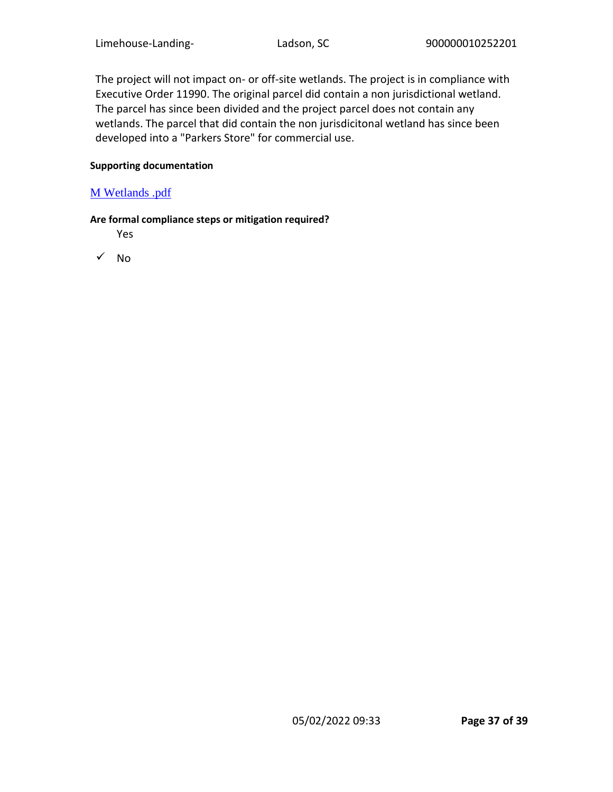The project will not impact on- or off-site wetlands. The project is in compliance with Executive Order 11990. The original parcel did contain a non jurisdictional wetland. The parcel has since been divided and the project parcel does not contain any wetlands. The parcel that did contain the non jurisdicitonal wetland has since been developed into a "Parkers Store" for commercial use.

### **Supporting documentation**

### [M Wetlands .pdf](https://www.onecpd.info/reports/ESD_900000010252201_05212022_900000011326200_1651498204603.pdf)

### **Are formal compliance steps or mitigation required?**

Yes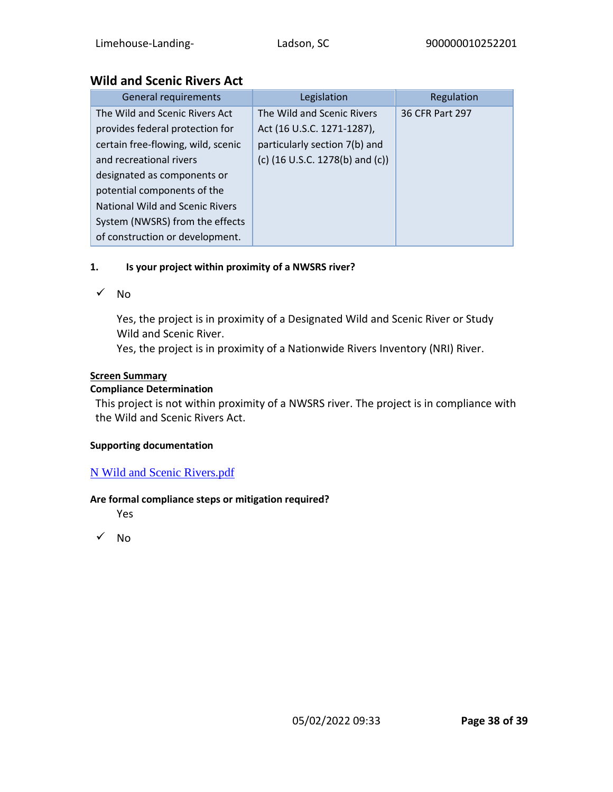# **Wild and Scenic Rivers Act**

| <b>General requirements</b>        | Legislation                                         | Regulation      |
|------------------------------------|-----------------------------------------------------|-----------------|
| The Wild and Scenic Rivers Act     | The Wild and Scenic Rivers                          | 36 CFR Part 297 |
| provides federal protection for    | Act (16 U.S.C. 1271-1287),                          |                 |
| certain free-flowing, wild, scenic | particularly section 7(b) and                       |                 |
| and recreational rivers            | (c) $(16 \text{ U.S.C. } 1278(b) \text{ and } (c))$ |                 |
| designated as components or        |                                                     |                 |
| potential components of the        |                                                     |                 |
| National Wild and Scenic Rivers    |                                                     |                 |
| System (NWSRS) from the effects    |                                                     |                 |
| of construction or development.    |                                                     |                 |

# **1. Is your project within proximity of a NWSRS river?**

✓ No

Yes, the project is in proximity of a Designated Wild and Scenic River or Study Wild and Scenic River.

Yes, the project is in proximity of a Nationwide Rivers Inventory (NRI) River.

### **Screen Summary**

### **Compliance Determination**

This project is not within proximity of a NWSRS river. The project is in compliance with the Wild and Scenic Rivers Act.

### **Supporting documentation**

### [N Wild and Scenic Rivers.pdf](https://www.onecpd.info/reports/ESD_900000010252201_05212022_900000011326168_1651498204603.pdf)

### **Are formal compliance steps or mitigation required?**

Yes